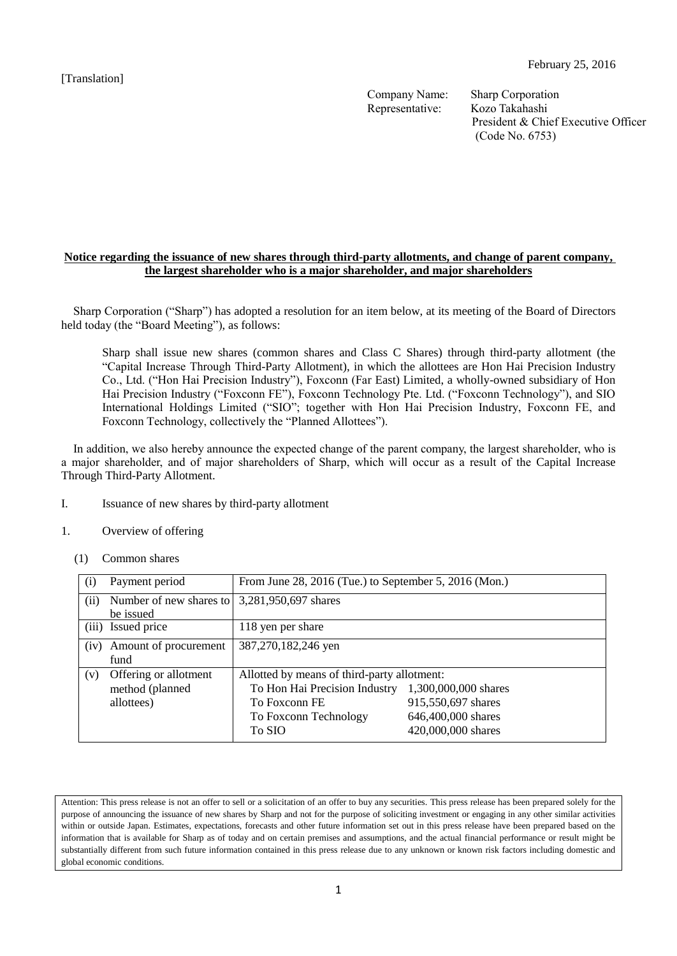Company Name: Sharp Corporation Representative: Kozo Takahashi

President & Chief Executive Officer (Code No. 6753)

# **Notice regarding the issuance of new shares through third-party allotments, and change of parent company, the largest shareholder who is a major shareholder, and major shareholders**

Sharp Corporation ("Sharp") has adopted a resolution for an item below, at its meeting of the Board of Directors held today (the "Board Meeting"), as follows:

Sharp shall issue new shares (common shares and Class C Shares) through third-party allotment (the "Capital Increase Through Third-Party Allotment), in which the allottees are Hon Hai Precision Industry Co., Ltd. ("Hon Hai Precision Industry"), Foxconn (Far East) Limited, a wholly-owned subsidiary of Hon Hai Precision Industry ("Foxconn FE"), Foxconn Technology Pte. Ltd. ("Foxconn Technology"), and SIO International Holdings Limited ("SIO"; together with Hon Hai Precision Industry, Foxconn FE, and Foxconn Technology, collectively the "Planned Allottees").

In addition, we also hereby announce the expected change of the parent company, the largest shareholder, who is a major shareholder, and of major shareholders of Sharp, which will occur as a result of the Capital Increase Through Third-Party Allotment.

- I. Issuance of new shares by third-party allotment
- 1. Overview of offering
	- (1) Common shares

| (i)  | Payment period                                         | From June 28, 2016 (Tue.) to September 5, 2016 (Mon.)                                                                            |                                                                                        |
|------|--------------------------------------------------------|----------------------------------------------------------------------------------------------------------------------------------|----------------------------------------------------------------------------------------|
| (ii) | Number of new shares to<br>be issued                   | 3,281,950,697 shares                                                                                                             |                                                                                        |
|      | (iii) Issued price                                     | 118 yen per share                                                                                                                |                                                                                        |
| (iv) | Amount of procurement<br>fund                          | 387,270,182,246 yen                                                                                                              |                                                                                        |
| (v)  | Offering or allotment<br>method (planned<br>allottees) | Allotted by means of third-party allotment:<br>To Hon Hai Precision Industry<br>To Foxconn FE<br>To Foxconn Technology<br>To SIO | 1,300,000,000 shares<br>915,550,697 shares<br>646,400,000 shares<br>420,000,000 shares |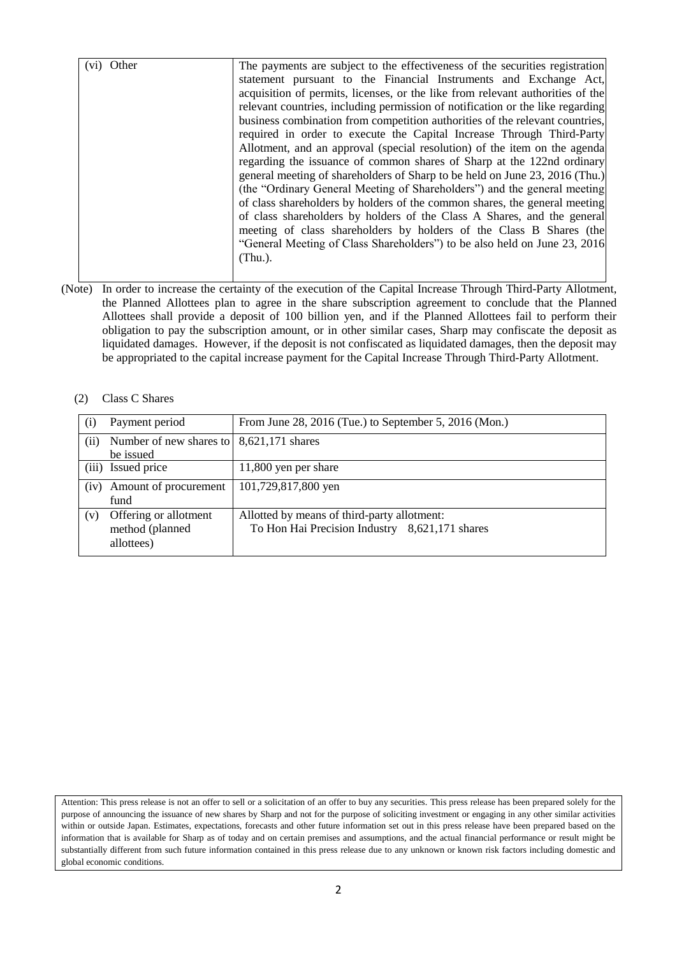| Other<br>(vi) | The payments are subject to the effectiveness of the securities registration   |
|---------------|--------------------------------------------------------------------------------|
|               | statement pursuant to the Financial Instruments and Exchange Act,              |
|               | acquisition of permits, licenses, or the like from relevant authorities of the |
|               | relevant countries, including permission of notification or the like regarding |
|               | business combination from competition authorities of the relevant countries,   |
|               | required in order to execute the Capital Increase Through Third-Party          |
|               | Allotment, and an approval (special resolution) of the item on the agenda      |
|               | regarding the issuance of common shares of Sharp at the 122nd ordinary         |
|               | general meeting of shareholders of Sharp to be held on June 23, 2016 (Thu.)    |
|               | (the "Ordinary General Meeting of Shareholders") and the general meeting       |
|               | of class shareholders by holders of the common shares, the general meeting     |
|               | of class shareholders by holders of the Class A Shares, and the general        |
|               | meeting of class shareholders by holders of the Class B Shares (the            |
|               | "General Meeting of Class Shareholders" to be also held on June 23, 2016       |
|               | $(Thu.)$ .                                                                     |
|               |                                                                                |
|               |                                                                                |

(Note) In order to increase the certainty of the execution of the Capital Increase Through Third-Party Allotment, the Planned Allottees plan to agree in the share subscription agreement to conclude that the Planned Allottees shall provide a deposit of 100 billion yen, and if the Planned Allottees fail to perform their obligation to pay the subscription amount, or in other similar cases, Sharp may confiscate the deposit as liquidated damages. However, if the deposit is not confiscated as liquidated damages, then the deposit may be appropriated to the capital increase payment for the Capital Increase Through Third-Party Allotment.

#### (2) Class C Shares

| Payment period                                         | From June 28, 2016 (Tue.) to September 5, 2016 (Mon.)                                         |
|--------------------------------------------------------|-----------------------------------------------------------------------------------------------|
|                                                        | 8,621,171 shares                                                                              |
| be issued                                              |                                                                                               |
| (iii) Issued price                                     | 11,800 yen per share                                                                          |
| Amount of procurement<br>fund                          | 101,729,817,800 yen                                                                           |
| Offering or allotment<br>method (planned<br>allottees) | Allotted by means of third-party allotment:<br>To Hon Hai Precision Industry 8,621,171 shares |
|                                                        | Number of new shares to                                                                       |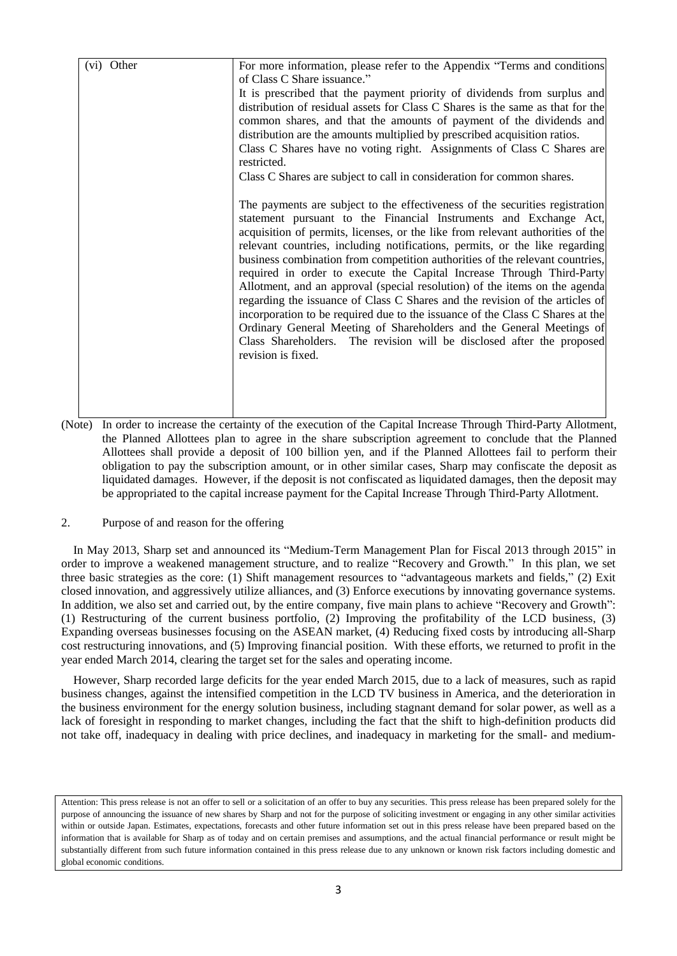| (vi) Other | For more information, please refer to the Appendix "Terms and conditions<br>of Class C Share issuance."                                                                                                                                                                                                                                                                                                                                                                                                                                                                                                                                                                                                                                                                                                                                                                                           |
|------------|---------------------------------------------------------------------------------------------------------------------------------------------------------------------------------------------------------------------------------------------------------------------------------------------------------------------------------------------------------------------------------------------------------------------------------------------------------------------------------------------------------------------------------------------------------------------------------------------------------------------------------------------------------------------------------------------------------------------------------------------------------------------------------------------------------------------------------------------------------------------------------------------------|
|            | It is prescribed that the payment priority of dividends from surplus and<br>distribution of residual assets for Class C Shares is the same as that for the<br>common shares, and that the amounts of payment of the dividends and<br>distribution are the amounts multiplied by prescribed acquisition ratios.<br>Class C Shares have no voting right. Assignments of Class C Shares are<br>restricted.                                                                                                                                                                                                                                                                                                                                                                                                                                                                                           |
|            | Class C Shares are subject to call in consideration for common shares.                                                                                                                                                                                                                                                                                                                                                                                                                                                                                                                                                                                                                                                                                                                                                                                                                            |
|            | The payments are subject to the effectiveness of the securities registration<br>statement pursuant to the Financial Instruments and Exchange Act,<br>acquisition of permits, licenses, or the like from relevant authorities of the<br>relevant countries, including notifications, permits, or the like regarding<br>business combination from competition authorities of the relevant countries,<br>required in order to execute the Capital Increase Through Third-Party<br>Allotment, and an approval (special resolution) of the items on the agenda<br>regarding the issuance of Class C Shares and the revision of the articles of<br>incorporation to be required due to the issuance of the Class C Shares at the<br>Ordinary General Meeting of Shareholders and the General Meetings of<br>Class Shareholders. The revision will be disclosed after the proposed<br>revision is fixed. |

(Note) In order to increase the certainty of the execution of the Capital Increase Through Third-Party Allotment, the Planned Allottees plan to agree in the share subscription agreement to conclude that the Planned Allottees shall provide a deposit of 100 billion yen, and if the Planned Allottees fail to perform their obligation to pay the subscription amount, or in other similar cases, Sharp may confiscate the deposit as liquidated damages. However, if the deposit is not confiscated as liquidated damages, then the deposit may be appropriated to the capital increase payment for the Capital Increase Through Third-Party Allotment.

#### 2. Purpose of and reason for the offering

In May 2013, Sharp set and announced its "Medium-Term Management Plan for Fiscal 2013 through 2015" in order to improve a weakened management structure, and to realize "Recovery and Growth." In this plan, we set three basic strategies as the core: (1) Shift management resources to "advantageous markets and fields," (2) Exit closed innovation, and aggressively utilize alliances, and (3) Enforce executions by innovating governance systems. In addition, we also set and carried out, by the entire company, five main plans to achieve "Recovery and Growth": (1) Restructuring of the current business portfolio, (2) Improving the profitability of the LCD business, (3) Expanding overseas businesses focusing on the ASEAN market, (4) Reducing fixed costs by introducing all-Sharp cost restructuring innovations, and (5) Improving financial position. With these efforts, we returned to profit in the year ended March 2014, clearing the target set for the sales and operating income.

However, Sharp recorded large deficits for the year ended March 2015, due to a lack of measures, such as rapid business changes, against the intensified competition in the LCD TV business in America, and the deterioration in the business environment for the energy solution business, including stagnant demand for solar power, as well as a lack of foresight in responding to market changes, including the fact that the shift to high-definition products did not take off, inadequacy in dealing with price declines, and inadequacy in marketing for the small- and medium-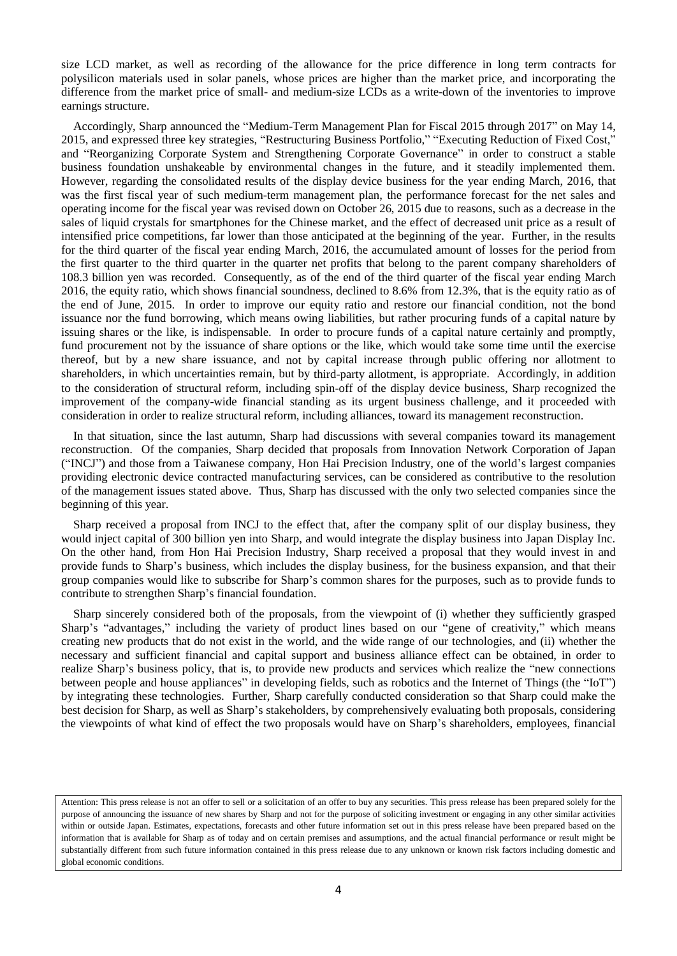size LCD market, as well as recording of the allowance for the price difference in long term contracts for polysilicon materials used in solar panels, whose prices are higher than the market price, and incorporating the difference from the market price of small- and medium-size LCDs as a write-down of the inventories to improve earnings structure.

Accordingly, Sharp announced the "Medium-Term Management Plan for Fiscal 2015 through 2017" on May 14, 2015, and expressed three key strategies, "Restructuring Business Portfolio," "Executing Reduction of Fixed Cost," and "Reorganizing Corporate System and Strengthening Corporate Governance" in order to construct a stable business foundation unshakeable by environmental changes in the future, and it steadily implemented them. However, regarding the consolidated results of the display device business for the year ending March, 2016, that was the first fiscal year of such medium-term management plan, the performance forecast for the net sales and operating income for the fiscal year was revised down on October 26, 2015 due to reasons, such as a decrease in the sales of liquid crystals for smartphones for the Chinese market, and the effect of decreased unit price as a result of intensified price competitions, far lower than those anticipated at the beginning of the year. Further, in the results for the third quarter of the fiscal year ending March, 2016, the accumulated amount of losses for the period from the first quarter to the third quarter in the quarter net profits that belong to the parent company shareholders of 108.3 billion yen was recorded. Consequently, as of the end of the third quarter of the fiscal year ending March 2016, the equity ratio, which shows financial soundness, declined to 8.6% from 12.3%, that is the equity ratio as of the end of June, 2015. In order to improve our equity ratio and restore our financial condition, not the bond issuance nor the fund borrowing, which means owing liabilities, but rather procuring funds of a capital nature by issuing shares or the like, is indispensable. In order to procure funds of a capital nature certainly and promptly, fund procurement not by the issuance of share options or the like, which would take some time until the exercise thereof, but by a new share issuance, and not by capital increase through public offering nor allotment to shareholders, in which uncertainties remain, but by third-party allotment, is appropriate. Accordingly, in addition to the consideration of structural reform, including spin-off of the display device business, Sharp recognized the improvement of the company-wide financial standing as its urgent business challenge, and it proceeded with consideration in order to realize structural reform, including alliances, toward its management reconstruction.

In that situation, since the last autumn, Sharp had discussions with several companies toward its management reconstruction. Of the companies, Sharp decided that proposals from Innovation Network Corporation of Japan ("INCJ") and those from a Taiwanese company, Hon Hai Precision Industry, one of the world's largest companies providing electronic device contracted manufacturing services, can be considered as contributive to the resolution of the management issues stated above. Thus, Sharp has discussed with the only two selected companies since the beginning of this year.

Sharp received a proposal from INCJ to the effect that, after the company split of our display business, they would inject capital of 300 billion yen into Sharp, and would integrate the display business into Japan Display Inc. On the other hand, from Hon Hai Precision Industry, Sharp received a proposal that they would invest in and provide funds to Sharp's business, which includes the display business, for the business expansion, and that their group companies would like to subscribe for Sharp's common shares for the purposes, such as to provide funds to contribute to strengthen Sharp's financial foundation.

Sharp sincerely considered both of the proposals, from the viewpoint of (i) whether they sufficiently grasped Sharp's "advantages," including the variety of product lines based on our "gene of creativity," which means creating new products that do not exist in the world, and the wide range of our technologies, and (ii) whether the necessary and sufficient financial and capital support and business alliance effect can be obtained, in order to realize Sharp's business policy, that is, to provide new products and services which realize the "new connections between people and house appliances" in developing fields, such as robotics and the Internet of Things (the "IoT") by integrating these technologies. Further, Sharp carefully conducted consideration so that Sharp could make the best decision for Sharp, as well as Sharp's stakeholders, by comprehensively evaluating both proposals, considering the viewpoints of what kind of effect the two proposals would have on Sharp's shareholders, employees, financial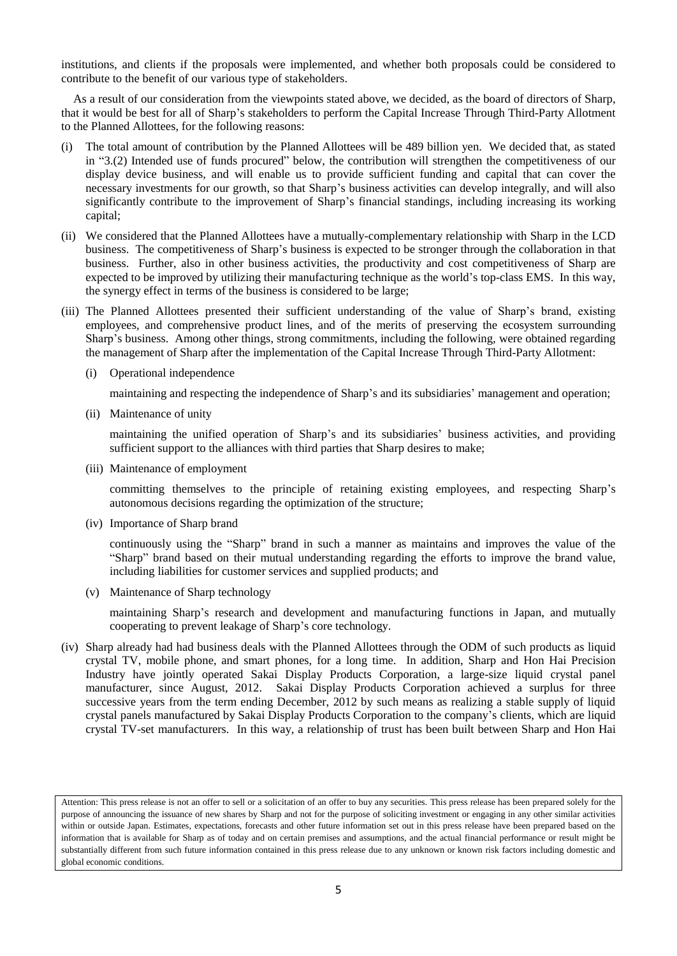institutions, and clients if the proposals were implemented, and whether both proposals could be considered to contribute to the benefit of our various type of stakeholders.

As a result of our consideration from the viewpoints stated above, we decided, as the board of directors of Sharp, that it would be best for all of Sharp's stakeholders to perform the Capital Increase Through Third-Party Allotment to the Planned Allottees, for the following reasons:

- (i) The total amount of contribution by the Planned Allottees will be 489 billion yen. We decided that, as stated in "3.(2) Intended use of funds procured" below, the contribution will strengthen the competitiveness of our display device business, and will enable us to provide sufficient funding and capital that can cover the necessary investments for our growth, so that Sharp's business activities can develop integrally, and will also significantly contribute to the improvement of Sharp's financial standings, including increasing its working capital;
- (ii) We considered that the Planned Allottees have a mutually-complementary relationship with Sharp in the LCD business. The competitiveness of Sharp's business is expected to be stronger through the collaboration in that business. Further, also in other business activities, the productivity and cost competitiveness of Sharp are expected to be improved by utilizing their manufacturing technique as the world's top-class EMS. In this way, the synergy effect in terms of the business is considered to be large;
- (iii) The Planned Allottees presented their sufficient understanding of the value of Sharp's brand, existing employees, and comprehensive product lines, and of the merits of preserving the ecosystem surrounding Sharp's business. Among other things, strong commitments, including the following, were obtained regarding the management of Sharp after the implementation of the Capital Increase Through Third-Party Allotment:
	- (i) Operational independence

maintaining and respecting the independence of Sharp's and its subsidiaries' management and operation;

(ii) Maintenance of unity

maintaining the unified operation of Sharp's and its subsidiaries' business activities, and providing sufficient support to the alliances with third parties that Sharp desires to make;

(iii) Maintenance of employment

committing themselves to the principle of retaining existing employees, and respecting Sharp's autonomous decisions regarding the optimization of the structure;

(iv) Importance of Sharp brand

continuously using the "Sharp" brand in such a manner as maintains and improves the value of the "Sharp" brand based on their mutual understanding regarding the efforts to improve the brand value, including liabilities for customer services and supplied products; and

(v) Maintenance of Sharp technology

maintaining Sharp's research and development and manufacturing functions in Japan, and mutually cooperating to prevent leakage of Sharp's core technology.

(iv) Sharp already had had business deals with the Planned Allottees through the ODM of such products as liquid crystal TV, mobile phone, and smart phones, for a long time. In addition, Sharp and Hon Hai Precision Industry have jointly operated Sakai Display Products Corporation, a large-size liquid crystal panel manufacturer, since August, 2012. Sakai Display Products Corporation achieved a surplus for three successive years from the term ending December, 2012 by such means as realizing a stable supply of liquid crystal panels manufactured by Sakai Display Products Corporation to the company's clients, which are liquid crystal TV-set manufacturers. In this way, a relationship of trust has been built between Sharp and Hon Hai

Attention: This press release is not an offer to sell or a solicitation of an offer to buy any securities. This press release has been prepared solely for the purpose of announcing the issuance of new shares by Sharp and not for the purpose of soliciting investment or engaging in any other similar activities within or outside Japan. Estimates, expectations, forecasts and other future information set out in this press release have been prepared based on the information that is available for Sharp as of today and on certain premises and assumptions, and the actual financial performance or result might be substantially different from such future information contained in this press release due to any unknown or known risk factors including domestic and global economic conditions.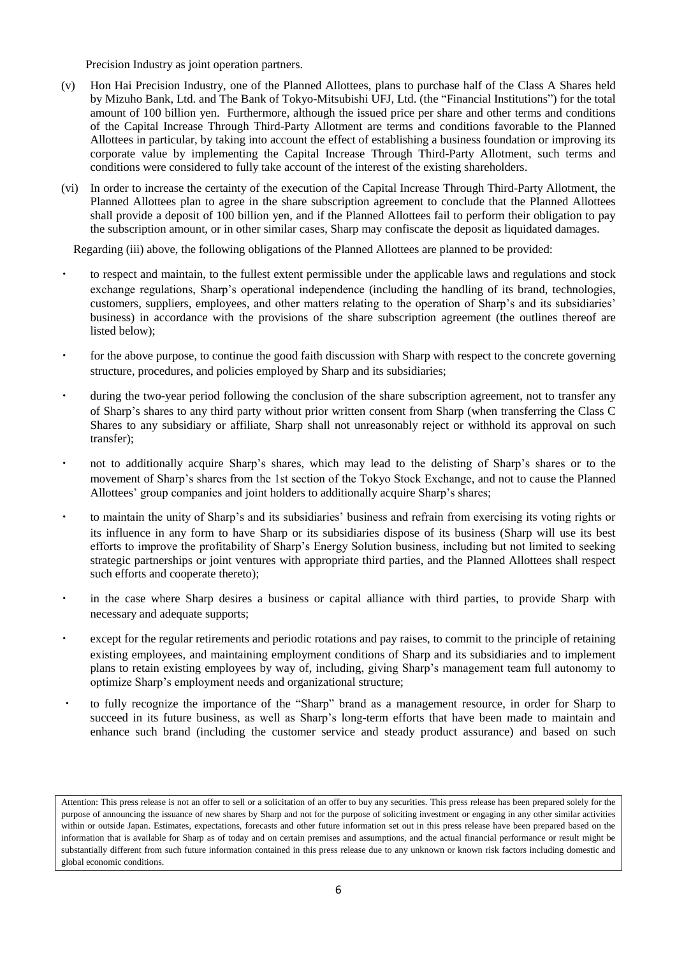Precision Industry as joint operation partners.

- (v) Hon Hai Precision Industry, one of the Planned Allottees, plans to purchase half of the Class A Shares held by Mizuho Bank, Ltd. and The Bank of Tokyo-Mitsubishi UFJ, Ltd. (the "Financial Institutions") for the total amount of 100 billion yen. Furthermore, although the issued price per share and other terms and conditions of the Capital Increase Through Third-Party Allotment are terms and conditions favorable to the Planned Allottees in particular, by taking into account the effect of establishing a business foundation or improving its corporate value by implementing the Capital Increase Through Third-Party Allotment, such terms and conditions were considered to fully take account of the interest of the existing shareholders.
- (vi) In order to increase the certainty of the execution of the Capital Increase Through Third-Party Allotment, the Planned Allottees plan to agree in the share subscription agreement to conclude that the Planned Allottees shall provide a deposit of 100 billion yen, and if the Planned Allottees fail to perform their obligation to pay the subscription amount, or in other similar cases, Sharp may confiscate the deposit as liquidated damages.

Regarding (iii) above, the following obligations of the Planned Allottees are planned to be provided:

- to respect and maintain, to the fullest extent permissible under the applicable laws and regulations and stock exchange regulations, Sharp's operational independence (including the handling of its brand, technologies, customers, suppliers, employees, and other matters relating to the operation of Sharp's and its subsidiaries' business) in accordance with the provisions of the share subscription agreement (the outlines thereof are listed below);
- ・ for the above purpose, to continue the good faith discussion with Sharp with respect to the concrete governing structure, procedures, and policies employed by Sharp and its subsidiaries;
- during the two-year period following the conclusion of the share subscription agreement, not to transfer any of Sharp's shares to any third party without prior written consent from Sharp (when transferring the Class C Shares to any subsidiary or affiliate, Sharp shall not unreasonably reject or withhold its approval on such transfer);
- not to additionally acquire Sharp's shares, which may lead to the delisting of Sharp's shares or to the movement of Sharp's shares from the 1st section of the Tokyo Stock Exchange, and not to cause the Planned Allottees' group companies and joint holders to additionally acquire Sharp's shares;
- ・ to maintain the unity of Sharp's and its subsidiaries' business and refrain from exercising its voting rights or its influence in any form to have Sharp or its subsidiaries dispose of its business (Sharp will use its best efforts to improve the profitability of Sharp's Energy Solution business, including but not limited to seeking strategic partnerships or joint ventures with appropriate third parties, and the Planned Allottees shall respect such efforts and cooperate thereto);
- in the case where Sharp desires a business or capital alliance with third parties, to provide Sharp with necessary and adequate supports;
- except for the regular retirements and periodic rotations and pay raises, to commit to the principle of retaining existing employees, and maintaining employment conditions of Sharp and its subsidiaries and to implement plans to retain existing employees by way of, including, giving Sharp's management team full autonomy to optimize Sharp's employment needs and organizational structure;
- ・ to fully recognize the importance of the "Sharp" brand as a management resource, in order for Sharp to succeed in its future business, as well as Sharp's long-term efforts that have been made to maintain and enhance such brand (including the customer service and steady product assurance) and based on such

Attention: This press release is not an offer to sell or a solicitation of an offer to buy any securities. This press release has been prepared solely for the purpose of announcing the issuance of new shares by Sharp and not for the purpose of soliciting investment or engaging in any other similar activities within or outside Japan. Estimates, expectations, forecasts and other future information set out in this press release have been prepared based on the information that is available for Sharp as of today and on certain premises and assumptions, and the actual financial performance or result might be substantially different from such future information contained in this press release due to any unknown or known risk factors including domestic and global economic conditions.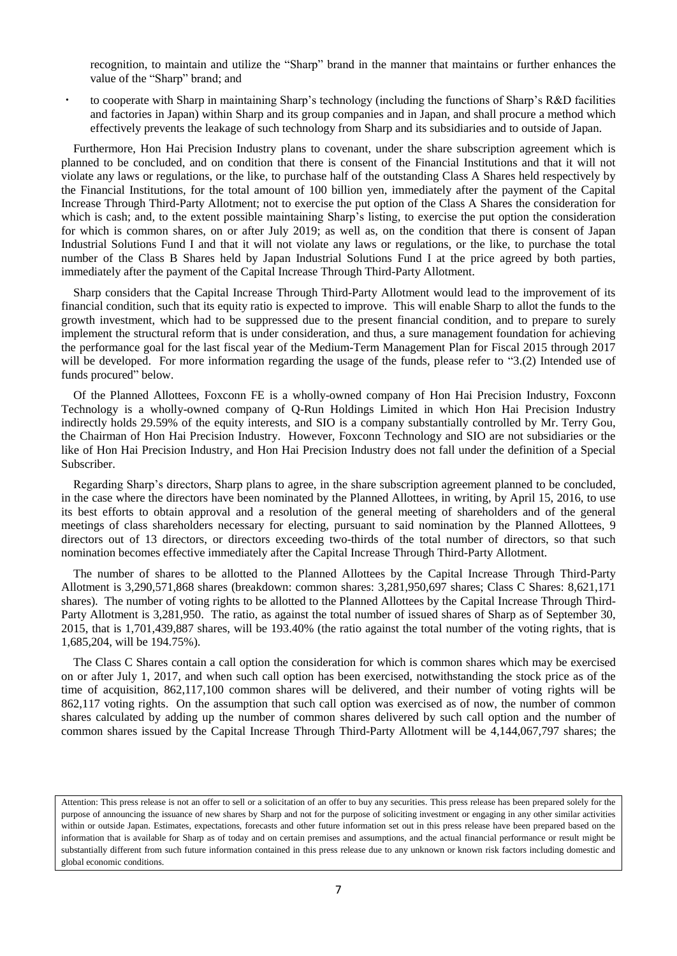recognition, to maintain and utilize the "Sharp" brand in the manner that maintains or further enhances the value of the "Sharp" brand; and

to cooperate with Sharp in maintaining Sharp's technology (including the functions of Sharp's R&D facilities and factories in Japan) within Sharp and its group companies and in Japan, and shall procure a method which effectively prevents the leakage of such technology from Sharp and its subsidiaries and to outside of Japan.

Furthermore, Hon Hai Precision Industry plans to covenant, under the share subscription agreement which is planned to be concluded, and on condition that there is consent of the Financial Institutions and that it will not violate any laws or regulations, or the like, to purchase half of the outstanding Class A Shares held respectively by the Financial Institutions, for the total amount of 100 billion yen, immediately after the payment of the Capital Increase Through Third-Party Allotment; not to exercise the put option of the Class A Shares the consideration for which is cash; and, to the extent possible maintaining Sharp's listing, to exercise the put option the consideration for which is common shares, on or after July 2019; as well as, on the condition that there is consent of Japan Industrial Solutions Fund I and that it will not violate any laws or regulations, or the like, to purchase the total number of the Class B Shares held by Japan Industrial Solutions Fund I at the price agreed by both parties, immediately after the payment of the Capital Increase Through Third-Party Allotment.

Sharp considers that the Capital Increase Through Third-Party Allotment would lead to the improvement of its financial condition, such that its equity ratio is expected to improve. This will enable Sharp to allot the funds to the growth investment, which had to be suppressed due to the present financial condition, and to prepare to surely implement the structural reform that is under consideration, and thus, a sure management foundation for achieving the performance goal for the last fiscal year of the Medium-Term Management Plan for Fiscal 2015 through 2017 will be developed. For more information regarding the usage of the funds, please refer to "3.(2) Intended use of funds procured" below.

Of the Planned Allottees, Foxconn FE is a wholly-owned company of Hon Hai Precision Industry, Foxconn Technology is a wholly-owned company of Q-Run Holdings Limited in which Hon Hai Precision Industry indirectly holds 29.59% of the equity interests, and SIO is a company substantially controlled by Mr. Terry Gou, the Chairman of Hon Hai Precision Industry. However, Foxconn Technology and SIO are not subsidiaries or the like of Hon Hai Precision Industry, and Hon Hai Precision Industry does not fall under the definition of a Special Subscriber.

Regarding Sharp's directors, Sharp plans to agree, in the share subscription agreement planned to be concluded, in the case where the directors have been nominated by the Planned Allottees, in writing, by April 15, 2016, to use its best efforts to obtain approval and a resolution of the general meeting of shareholders and of the general meetings of class shareholders necessary for electing, pursuant to said nomination by the Planned Allottees, 9 directors out of 13 directors, or directors exceeding two-thirds of the total number of directors, so that such nomination becomes effective immediately after the Capital Increase Through Third-Party Allotment.

The number of shares to be allotted to the Planned Allottees by the Capital Increase Through Third-Party Allotment is 3,290,571,868 shares (breakdown: common shares: 3,281,950,697 shares; Class C Shares: 8,621,171 shares). The number of voting rights to be allotted to the Planned Allottees by the Capital Increase Through Third-Party Allotment is 3,281,950. The ratio, as against the total number of issued shares of Sharp as of September 30, 2015, that is 1,701,439,887 shares, will be 193.40% (the ratio against the total number of the voting rights, that is 1,685,204, will be 194.75%).

The Class C Shares contain a call option the consideration for which is common shares which may be exercised on or after July 1, 2017, and when such call option has been exercised, notwithstanding the stock price as of the time of acquisition, 862,117,100 common shares will be delivered, and their number of voting rights will be 862,117 voting rights. On the assumption that such call option was exercised as of now, the number of common shares calculated by adding up the number of common shares delivered by such call option and the number of common shares issued by the Capital Increase Through Third-Party Allotment will be 4,144,067,797 shares; the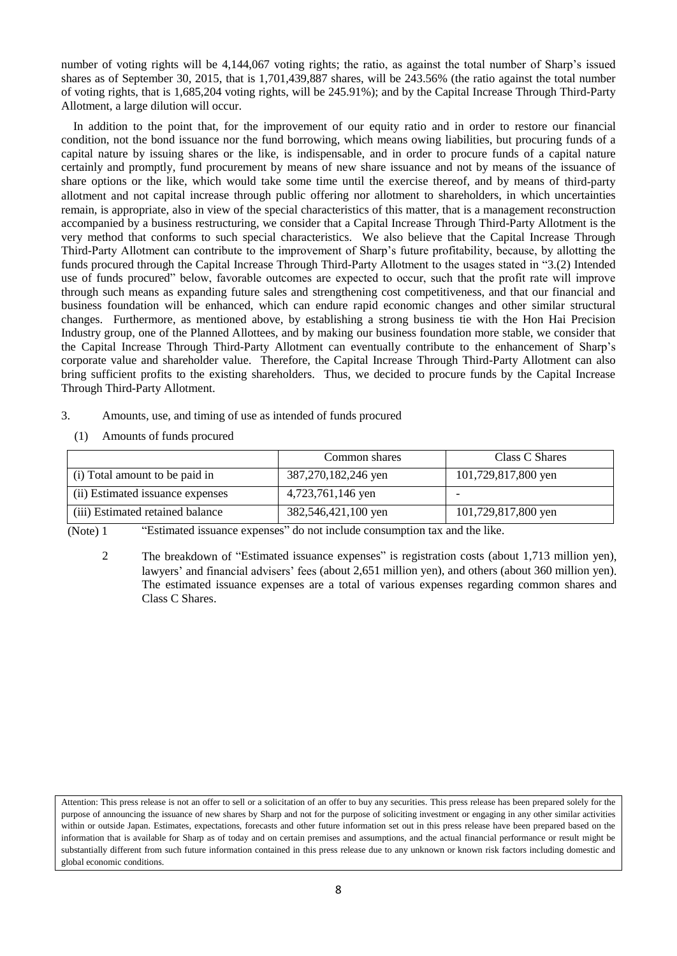number of voting rights will be 4,144,067 voting rights; the ratio, as against the total number of Sharp's issued shares as of September 30, 2015, that is 1,701,439,887 shares, will be 243.56% (the ratio against the total number of voting rights, that is 1,685,204 voting rights, will be 245.91%); and by the Capital Increase Through Third-Party Allotment, a large dilution will occur.

In addition to the point that, for the improvement of our equity ratio and in order to restore our financial condition, not the bond issuance nor the fund borrowing, which means owing liabilities, but procuring funds of a capital nature by issuing shares or the like, is indispensable, and in order to procure funds of a capital nature certainly and promptly, fund procurement by means of new share issuance and not by means of the issuance of share options or the like, which would take some time until the exercise thereof, and by means of third-party allotment and not capital increase through public offering nor allotment to shareholders, in which uncertainties remain, is appropriate, also in view of the special characteristics of this matter, that is a management reconstruction accompanied by a business restructuring, we consider that a Capital Increase Through Third-Party Allotment is the very method that conforms to such special characteristics. We also believe that the Capital Increase Through Third-Party Allotment can contribute to the improvement of Sharp's future profitability, because, by allotting the funds procured through the Capital Increase Through Third-Party Allotment to the usages stated in "3.(2) Intended use of funds procured" below, favorable outcomes are expected to occur, such that the profit rate will improve through such means as expanding future sales and strengthening cost competitiveness, and that our financial and business foundation will be enhanced, which can endure rapid economic changes and other similar structural changes. Furthermore, as mentioned above, by establishing a strong business tie with the Hon Hai Precision Industry group, one of the Planned Allottees, and by making our business foundation more stable, we consider that the Capital Increase Through Third-Party Allotment can eventually contribute to the enhancement of Sharp's corporate value and shareholder value. Therefore, the Capital Increase Through Third-Party Allotment can also bring sufficient profits to the existing shareholders. Thus, we decided to procure funds by the Capital Increase Through Third-Party Allotment.

- 3. Amounts, use, and timing of use as intended of funds procured
	- (1) Amounts of funds procured

|                                  | Common shares       | Class C Shares      |
|----------------------------------|---------------------|---------------------|
| (i) Total amount to be paid in   | 387,270,182,246 yen | 101,729,817,800 yen |
| (ii) Estimated issuance expenses | 4,723,761,146 yen   |                     |
| (iii) Estimated retained balance | 382,546,421,100 yen | 101,729,817,800 yen |

(Note) 1 "Estimated issuance expenses" do not include consumption tax and the like.

2 The breakdown of "Estimated issuance expenses" is registration costs (about 1,713 million yen), lawyers' and financial advisers' fees (about 2,651 million yen), and others (about 360 million yen). The estimated issuance expenses are a total of various expenses regarding common shares and Class C Shares.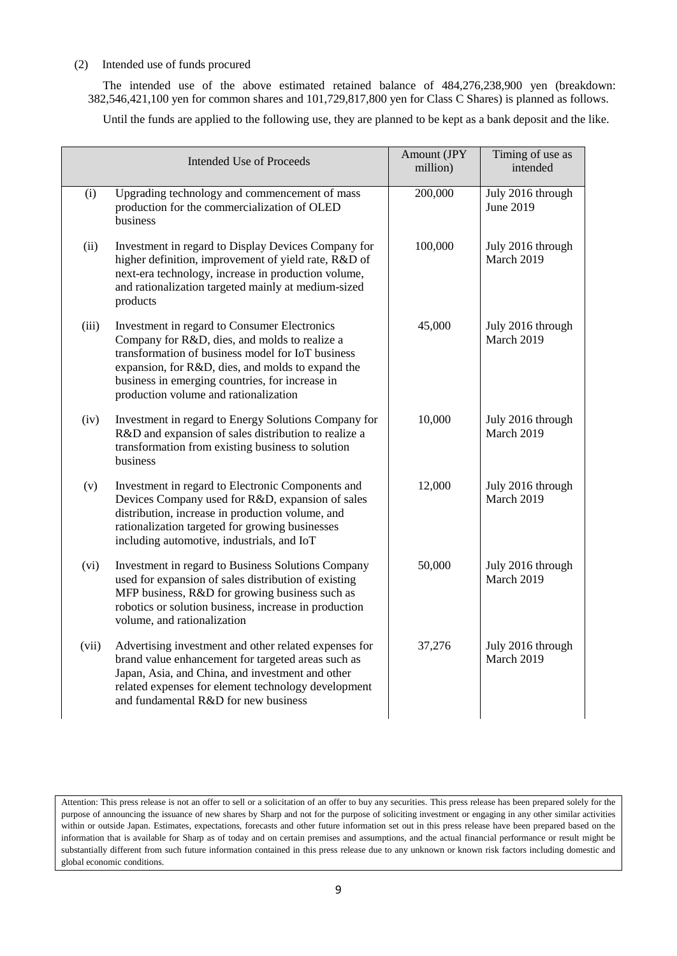# (2) Intended use of funds procured

The intended use of the above estimated retained balance of 484,276,238,900 yen (breakdown: 382,546,421,100 yen for common shares and 101,729,817,800 yen for Class C Shares) is planned as follows.

Until the funds are applied to the following use, they are planned to be kept as a bank deposit and the like.

|       | <b>Intended Use of Proceeds</b>                                                                                                                                                                                                                                                                     | Amount (JPY<br>million) | Timing of use as<br>intended    |
|-------|-----------------------------------------------------------------------------------------------------------------------------------------------------------------------------------------------------------------------------------------------------------------------------------------------------|-------------------------|---------------------------------|
| (i)   | Upgrading technology and commencement of mass<br>production for the commercialization of OLED<br>business                                                                                                                                                                                           | 200,000                 | July 2016 through<br>June 2019  |
| (ii)  | Investment in regard to Display Devices Company for<br>higher definition, improvement of yield rate, R&D of<br>next-era technology, increase in production volume,<br>and rationalization targeted mainly at medium-sized<br>products                                                               | 100,000                 | July 2016 through<br>March 2019 |
| (iii) | Investment in regard to Consumer Electronics<br>Company for R&D, dies, and molds to realize a<br>transformation of business model for IoT business<br>expansion, for R&D, dies, and molds to expand the<br>business in emerging countries, for increase in<br>production volume and rationalization | 45,000                  | July 2016 through<br>March 2019 |
| (iv)  | Investment in regard to Energy Solutions Company for<br>R&D and expansion of sales distribution to realize a<br>transformation from existing business to solution<br>business                                                                                                                       | 10,000                  | July 2016 through<br>March 2019 |
| (v)   | Investment in regard to Electronic Components and<br>Devices Company used for R&D, expansion of sales<br>distribution, increase in production volume, and<br>rationalization targeted for growing businesses<br>including automotive, industrials, and IoT                                          | 12,000                  | July 2016 through<br>March 2019 |
| (vi)  | Investment in regard to Business Solutions Company<br>used for expansion of sales distribution of existing<br>MFP business, R&D for growing business such as<br>robotics or solution business, increase in production<br>volume, and rationalization                                                | 50,000                  | July 2016 through<br>March 2019 |
| (vii) | Advertising investment and other related expenses for<br>brand value enhancement for targeted areas such as<br>Japan, Asia, and China, and investment and other<br>related expenses for element technology development<br>and fundamental R&D for new business                                      | 37,276                  | July 2016 through<br>March 2019 |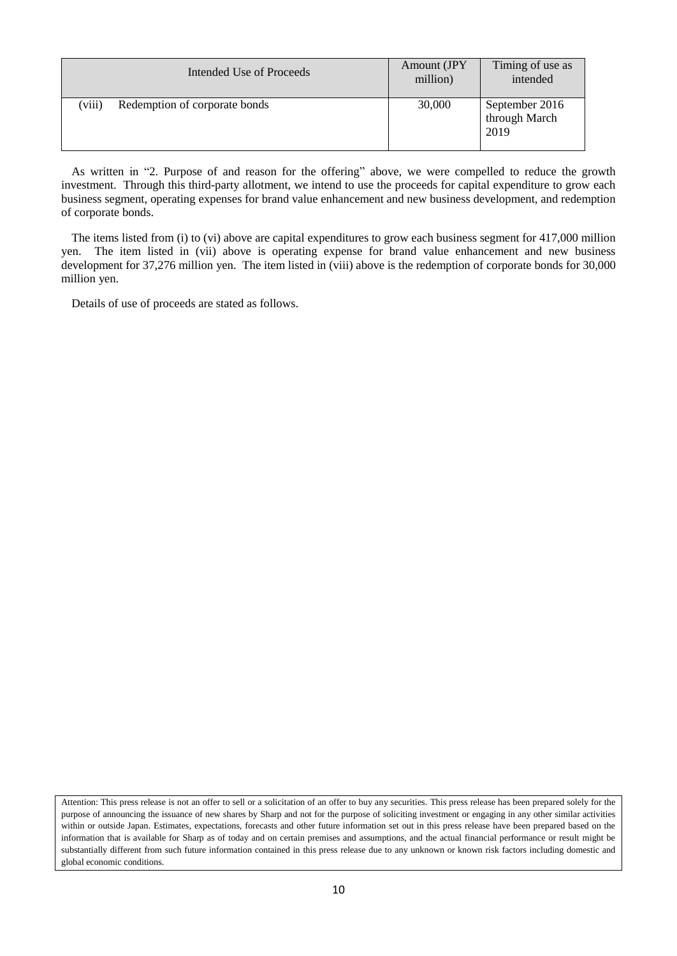|        | Intended Use of Proceeds      | Amount (JPY)<br>million) | Timing of use as<br>intended            |
|--------|-------------------------------|--------------------------|-----------------------------------------|
| (viii) | Redemption of corporate bonds | 30,000                   | September 2016<br>through March<br>2019 |

As written in "2. Purpose of and reason for the offering" above, we were compelled to reduce the growth investment. Through this third-party allotment, we intend to use the proceeds for capital expenditure to grow each business segment, operating expenses for brand value enhancement and new business development, and redemption of corporate bonds.

The items listed from (i) to (vi) above are capital expenditures to grow each business segment for 417,000 million yen. The item listed in (vii) above is operating expense for brand value enhancement and new business development for 37,276 million yen. The item listed in (viii) above is the redemption of corporate bonds for 30,000 million yen.

Details of use of proceeds are stated as follows.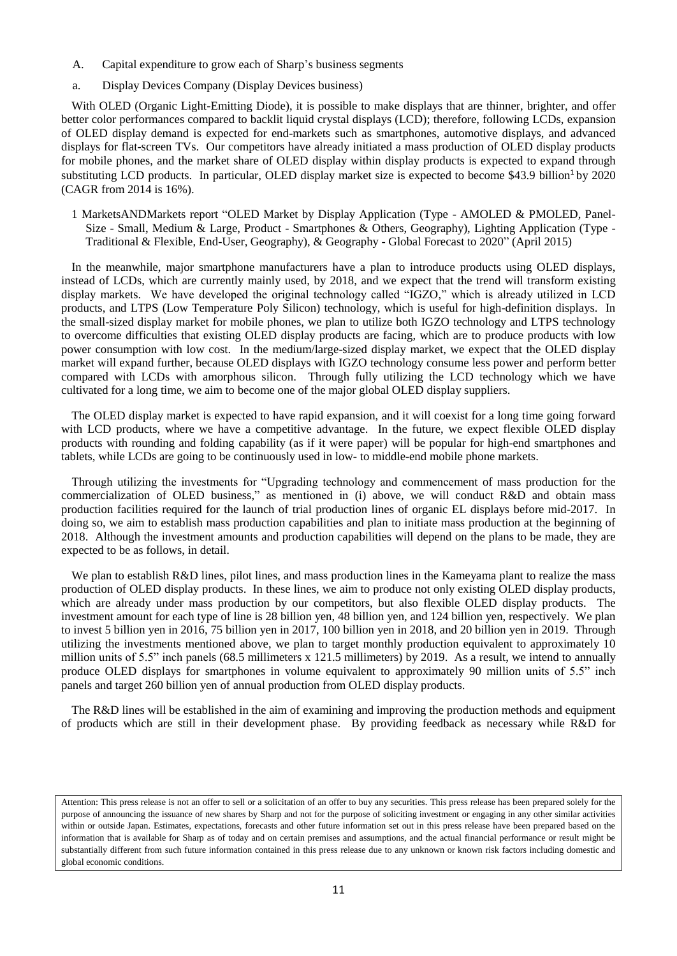- A. Capital expenditure to grow each of Sharp's business segments
- a. Display Devices Company (Display Devices business)

With OLED (Organic Light-Emitting Diode), it is possible to make displays that are thinner, brighter, and offer better color performances compared to backlit liquid crystal displays (LCD); therefore, following LCDs, expansion of OLED display demand is expected for end-markets such as smartphones, automotive displays, and advanced displays for flat-screen TVs. Our competitors have already initiated a mass production of OLED display products for mobile phones, and the market share of OLED display within display products is expected to expand through substituting LCD products. In particular, OLED display market size is expected to become  $$43.9$  billion<sup>1</sup> by 2020 (CAGR from 2014 is 16%).

1 MarketsANDMarkets report "OLED Market by Display Application (Type - AMOLED & PMOLED, Panel-Size - Small, Medium & Large, Product - Smartphones & Others, Geography), Lighting Application (Type - Traditional & Flexible, End-User, Geography), & Geography - Global Forecast to 2020" (April 2015)

In the meanwhile, major smartphone manufacturers have a plan to introduce products using OLED displays, instead of LCDs, which are currently mainly used, by 2018, and we expect that the trend will transform existing display markets. We have developed the original technology called "IGZO," which is already utilized in LCD products, and LTPS (Low Temperature Poly Silicon) technology, which is useful for high-definition displays. In the small-sized display market for mobile phones, we plan to utilize both IGZO technology and LTPS technology to overcome difficulties that existing OLED display products are facing, which are to produce products with low power consumption with low cost. In the medium/large-sized display market, we expect that the OLED display market will expand further, because OLED displays with IGZO technology consume less power and perform better compared with LCDs with amorphous silicon. Through fully utilizing the LCD technology which we have cultivated for a long time, we aim to become one of the major global OLED display suppliers.

The OLED display market is expected to have rapid expansion, and it will coexist for a long time going forward with LCD products, where we have a competitive advantage. In the future, we expect flexible OLED display products with rounding and folding capability (as if it were paper) will be popular for high-end smartphones and tablets, while LCDs are going to be continuously used in low- to middle-end mobile phone markets.

Through utilizing the investments for "Upgrading technology and commencement of mass production for the commercialization of OLED business," as mentioned in (i) above, we will conduct R&D and obtain mass production facilities required for the launch of trial production lines of organic EL displays before mid-2017. In doing so, we aim to establish mass production capabilities and plan to initiate mass production at the beginning of 2018. Although the investment amounts and production capabilities will depend on the plans to be made, they are expected to be as follows, in detail.

We plan to establish R&D lines, pilot lines, and mass production lines in the Kameyama plant to realize the mass production of OLED display products. In these lines, we aim to produce not only existing OLED display products, which are already under mass production by our competitors, but also flexible OLED display products. The investment amount for each type of line is 28 billion yen, 48 billion yen, and 124 billion yen, respectively. We plan to invest 5 billion yen in 2016, 75 billion yen in 2017, 100 billion yen in 2018, and 20 billion yen in 2019. Through utilizing the investments mentioned above, we plan to target monthly production equivalent to approximately 10 million units of 5.5" inch panels (68.5 millimeters x 121.5 millimeters) by 2019. As a result, we intend to annually produce OLED displays for smartphones in volume equivalent to approximately 90 million units of 5.5" inch panels and target 260 billion yen of annual production from OLED display products.

The R&D lines will be established in the aim of examining and improving the production methods and equipment of products which are still in their development phase. By providing feedback as necessary while R&D for

Attention: This press release is not an offer to sell or a solicitation of an offer to buy any securities. This press release has been prepared solely for the purpose of announcing the issuance of new shares by Sharp and not for the purpose of soliciting investment or engaging in any other similar activities within or outside Japan. Estimates, expectations, forecasts and other future information set out in this press release have been prepared based on the information that is available for Sharp as of today and on certain premises and assumptions, and the actual financial performance or result might be substantially different from such future information contained in this press release due to any unknown or known risk factors including domestic and global economic conditions.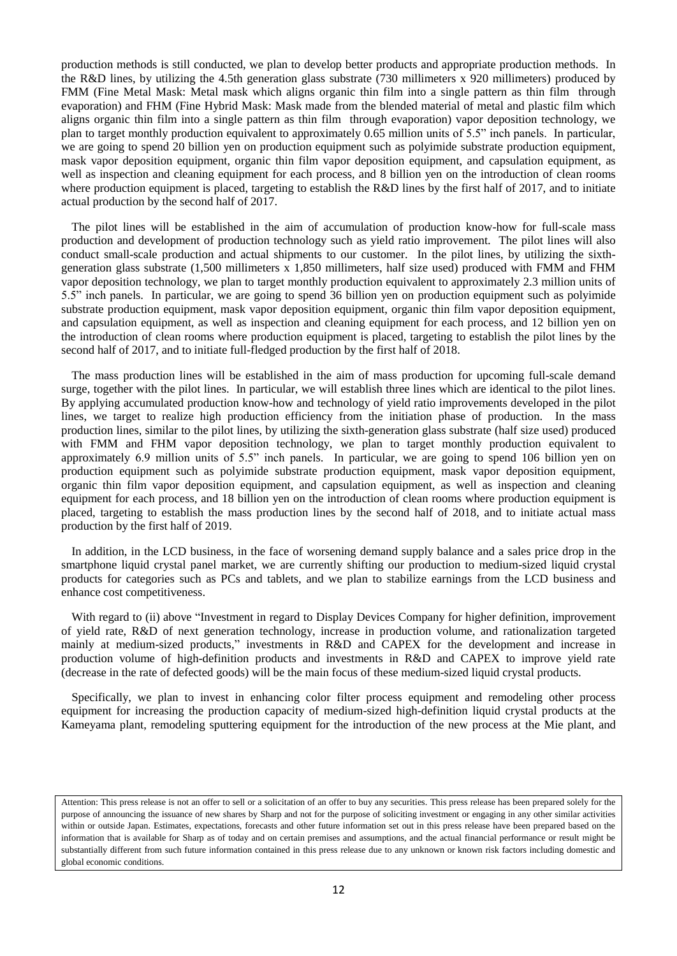production methods is still conducted, we plan to develop better products and appropriate production methods. In the R&D lines, by utilizing the 4.5th generation glass substrate (730 millimeters x 920 millimeters) produced by FMM (Fine Metal Mask: Metal mask which aligns organic thin film into a single pattern as thin film through evaporation) and FHM (Fine Hybrid Mask: Mask made from the blended material of metal and plastic film which aligns organic thin film into a single pattern as thin film through evaporation) vapor deposition technology, we plan to target monthly production equivalent to approximately 0.65 million units of 5.5" inch panels. In particular, we are going to spend 20 billion yen on production equipment such as polyimide substrate production equipment, mask vapor deposition equipment, organic thin film vapor deposition equipment, and capsulation equipment, as well as inspection and cleaning equipment for each process, and 8 billion yen on the introduction of clean rooms where production equipment is placed, targeting to establish the R&D lines by the first half of 2017, and to initiate actual production by the second half of 2017.

The pilot lines will be established in the aim of accumulation of production know-how for full-scale mass production and development of production technology such as yield ratio improvement. The pilot lines will also conduct small-scale production and actual shipments to our customer. In the pilot lines, by utilizing the sixthgeneration glass substrate (1,500 millimeters x 1,850 millimeters, half size used) produced with FMM and FHM vapor deposition technology, we plan to target monthly production equivalent to approximately 2.3 million units of 5.5" inch panels. In particular, we are going to spend 36 billion yen on production equipment such as polyimide substrate production equipment, mask vapor deposition equipment, organic thin film vapor deposition equipment, and capsulation equipment, as well as inspection and cleaning equipment for each process, and 12 billion yen on the introduction of clean rooms where production equipment is placed, targeting to establish the pilot lines by the second half of 2017, and to initiate full-fledged production by the first half of 2018.

The mass production lines will be established in the aim of mass production for upcoming full-scale demand surge, together with the pilot lines. In particular, we will establish three lines which are identical to the pilot lines. By applying accumulated production know-how and technology of yield ratio improvements developed in the pilot lines, we target to realize high production efficiency from the initiation phase of production. In the mass production lines, similar to the pilot lines, by utilizing the sixth-generation glass substrate (half size used) produced with FMM and FHM vapor deposition technology, we plan to target monthly production equivalent to approximately 6.9 million units of 5.5" inch panels. In particular, we are going to spend 106 billion yen on production equipment such as polyimide substrate production equipment, mask vapor deposition equipment, organic thin film vapor deposition equipment, and capsulation equipment, as well as inspection and cleaning equipment for each process, and 18 billion yen on the introduction of clean rooms where production equipment is placed, targeting to establish the mass production lines by the second half of 2018, and to initiate actual mass production by the first half of 2019.

In addition, in the LCD business, in the face of worsening demand supply balance and a sales price drop in the smartphone liquid crystal panel market, we are currently shifting our production to medium-sized liquid crystal products for categories such as PCs and tablets, and we plan to stabilize earnings from the LCD business and enhance cost competitiveness.

With regard to (ii) above "Investment in regard to Display Devices Company for higher definition, improvement of yield rate, R&D of next generation technology, increase in production volume, and rationalization targeted mainly at medium-sized products," investments in R&D and CAPEX for the development and increase in production volume of high-definition products and investments in R&D and CAPEX to improve yield rate (decrease in the rate of defected goods) will be the main focus of these medium-sized liquid crystal products.

Specifically, we plan to invest in enhancing color filter process equipment and remodeling other process equipment for increasing the production capacity of medium-sized high-definition liquid crystal products at the Kameyama plant, remodeling sputtering equipment for the introduction of the new process at the Mie plant, and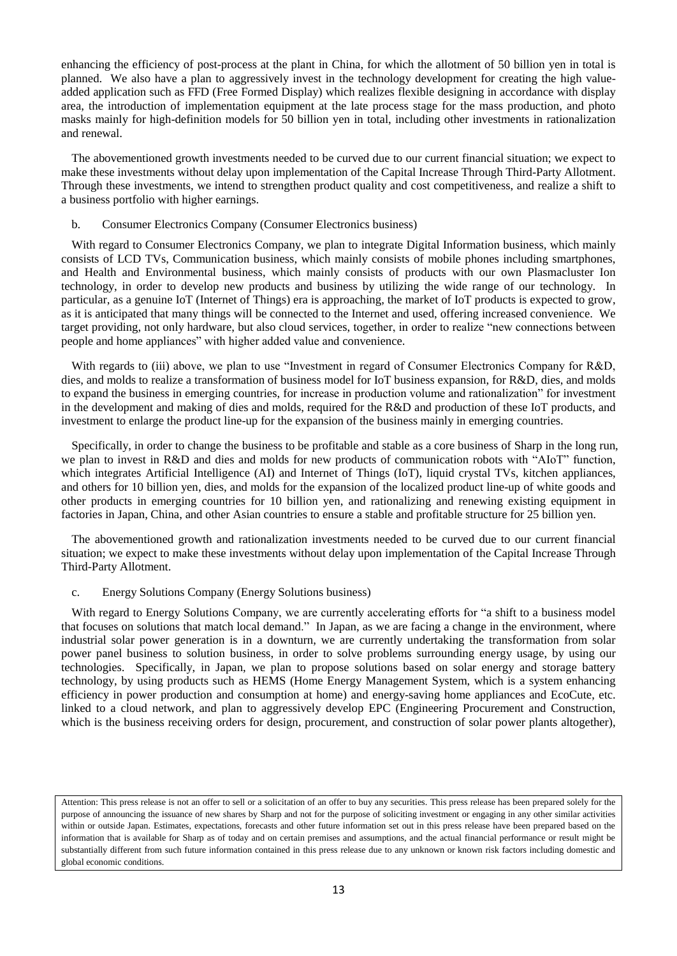enhancing the efficiency of post-process at the plant in China, for which the allotment of 50 billion yen in total is planned. We also have a plan to aggressively invest in the technology development for creating the high valueadded application such as FFD (Free Formed Display) which realizes flexible designing in accordance with display area, the introduction of implementation equipment at the late process stage for the mass production, and photo masks mainly for high-definition models for 50 billion yen in total, including other investments in rationalization and renewal.

The abovementioned growth investments needed to be curved due to our current financial situation; we expect to make these investments without delay upon implementation of the Capital Increase Through Third-Party Allotment. Through these investments, we intend to strengthen product quality and cost competitiveness, and realize a shift to a business portfolio with higher earnings.

### b. Consumer Electronics Company (Consumer Electronics business)

With regard to Consumer Electronics Company, we plan to integrate Digital Information business, which mainly consists of LCD TVs, Communication business, which mainly consists of mobile phones including smartphones, and Health and Environmental business, which mainly consists of products with our own Plasmacluster Ion technology, in order to develop new products and business by utilizing the wide range of our technology. In particular, as a genuine IoT (Internet of Things) era is approaching, the market of IoT products is expected to grow, as it is anticipated that many things will be connected to the Internet and used, offering increased convenience. We target providing, not only hardware, but also cloud services, together, in order to realize "new connections between people and home appliances" with higher added value and convenience.

With regards to (iii) above, we plan to use "Investment in regard of Consumer Electronics Company for R&D, dies, and molds to realize a transformation of business model for IoT business expansion, for R&D, dies, and molds to expand the business in emerging countries, for increase in production volume and rationalization" for investment in the development and making of dies and molds, required for the R&D and production of these IoT products, and investment to enlarge the product line-up for the expansion of the business mainly in emerging countries.

Specifically, in order to change the business to be profitable and stable as a core business of Sharp in the long run, we plan to invest in R&D and dies and molds for new products of communication robots with "AIoT" function, which integrates Artificial Intelligence (AI) and Internet of Things (IoT), liquid crystal TVs, kitchen appliances, and others for 10 billion yen, dies, and molds for the expansion of the localized product line-up of white goods and other products in emerging countries for 10 billion yen, and rationalizing and renewing existing equipment in factories in Japan, China, and other Asian countries to ensure a stable and profitable structure for 25 billion yen.

The abovementioned growth and rationalization investments needed to be curved due to our current financial situation; we expect to make these investments without delay upon implementation of the Capital Increase Through Third-Party Allotment.

# c. Energy Solutions Company (Energy Solutions business)

With regard to Energy Solutions Company, we are currently accelerating efforts for "a shift to a business model that focuses on solutions that match local demand." In Japan, as we are facing a change in the environment, where industrial solar power generation is in a downturn, we are currently undertaking the transformation from solar power panel business to solution business, in order to solve problems surrounding energy usage, by using our technologies. Specifically, in Japan, we plan to propose solutions based on solar energy and storage battery technology, by using products such as HEMS (Home Energy Management System, which is a system enhancing efficiency in power production and consumption at home) and energy-saving home appliances and EcoCute, etc. linked to a cloud network, and plan to aggressively develop EPC (Engineering Procurement and Construction, which is the business receiving orders for design, procurement, and construction of solar power plants altogether),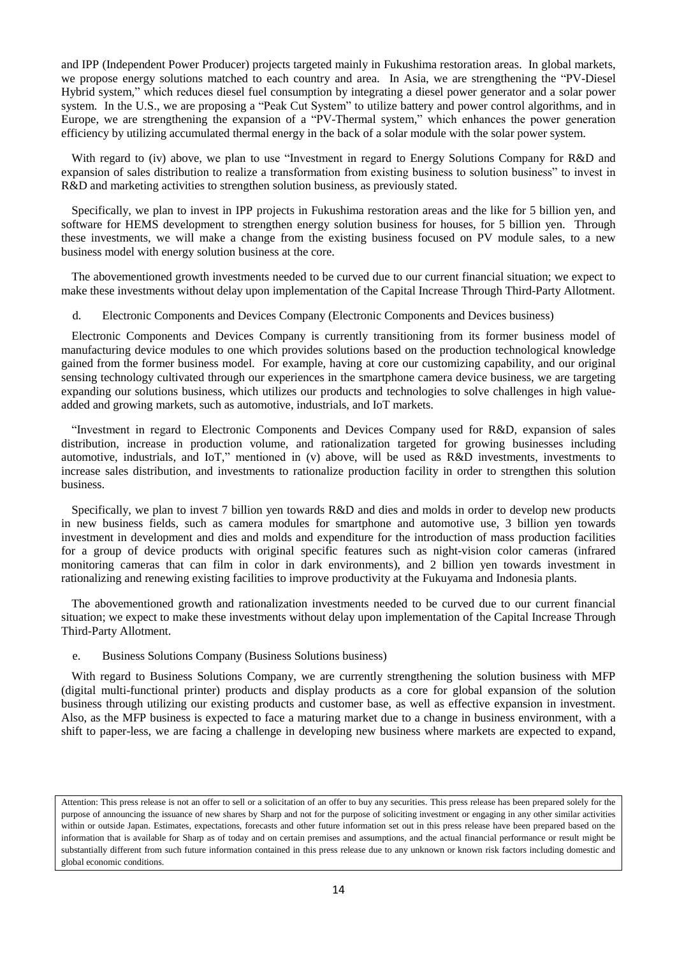and IPP (Independent Power Producer) projects targeted mainly in Fukushima restoration areas. In global markets, we propose energy solutions matched to each country and area. In Asia, we are strengthening the "PV-Diesel Hybrid system," which reduces diesel fuel consumption by integrating a diesel power generator and a solar power system. In the U.S., we are proposing a "Peak Cut System" to utilize battery and power control algorithms, and in Europe, we are strengthening the expansion of a "PV-Thermal system," which enhances the power generation efficiency by utilizing accumulated thermal energy in the back of a solar module with the solar power system.

With regard to (iv) above, we plan to use "Investment in regard to Energy Solutions Company for R&D and expansion of sales distribution to realize a transformation from existing business to solution business" to invest in R&D and marketing activities to strengthen solution business, as previously stated.

Specifically, we plan to invest in IPP projects in Fukushima restoration areas and the like for 5 billion yen, and software for HEMS development to strengthen energy solution business for houses, for 5 billion yen. Through these investments, we will make a change from the existing business focused on PV module sales, to a new business model with energy solution business at the core.

The abovementioned growth investments needed to be curved due to our current financial situation; we expect to make these investments without delay upon implementation of the Capital Increase Through Third-Party Allotment.

d. Electronic Components and Devices Company (Electronic Components and Devices business)

Electronic Components and Devices Company is currently transitioning from its former business model of manufacturing device modules to one which provides solutions based on the production technological knowledge gained from the former business model. For example, having at core our customizing capability, and our original sensing technology cultivated through our experiences in the smartphone camera device business, we are targeting expanding our solutions business, which utilizes our products and technologies to solve challenges in high valueadded and growing markets, such as automotive, industrials, and IoT markets.

"Investment in regard to Electronic Components and Devices Company used for R&D, expansion of sales distribution, increase in production volume, and rationalization targeted for growing businesses including automotive, industrials, and IoT," mentioned in (v) above, will be used as R&D investments, investments to increase sales distribution, and investments to rationalize production facility in order to strengthen this solution business.

Specifically, we plan to invest 7 billion yen towards R&D and dies and molds in order to develop new products in new business fields, such as camera modules for smartphone and automotive use, 3 billion yen towards investment in development and dies and molds and expenditure for the introduction of mass production facilities for a group of device products with original specific features such as night-vision color cameras (infrared monitoring cameras that can film in color in dark environments), and 2 billion yen towards investment in rationalizing and renewing existing facilities to improve productivity at the Fukuyama and Indonesia plants.

The abovementioned growth and rationalization investments needed to be curved due to our current financial situation; we expect to make these investments without delay upon implementation of the Capital Increase Through Third-Party Allotment.

e. Business Solutions Company (Business Solutions business)

With regard to Business Solutions Company, we are currently strengthening the solution business with MFP (digital multi-functional printer) products and display products as a core for global expansion of the solution business through utilizing our existing products and customer base, as well as effective expansion in investment. Also, as the MFP business is expected to face a maturing market due to a change in business environment, with a shift to paper-less, we are facing a challenge in developing new business where markets are expected to expand,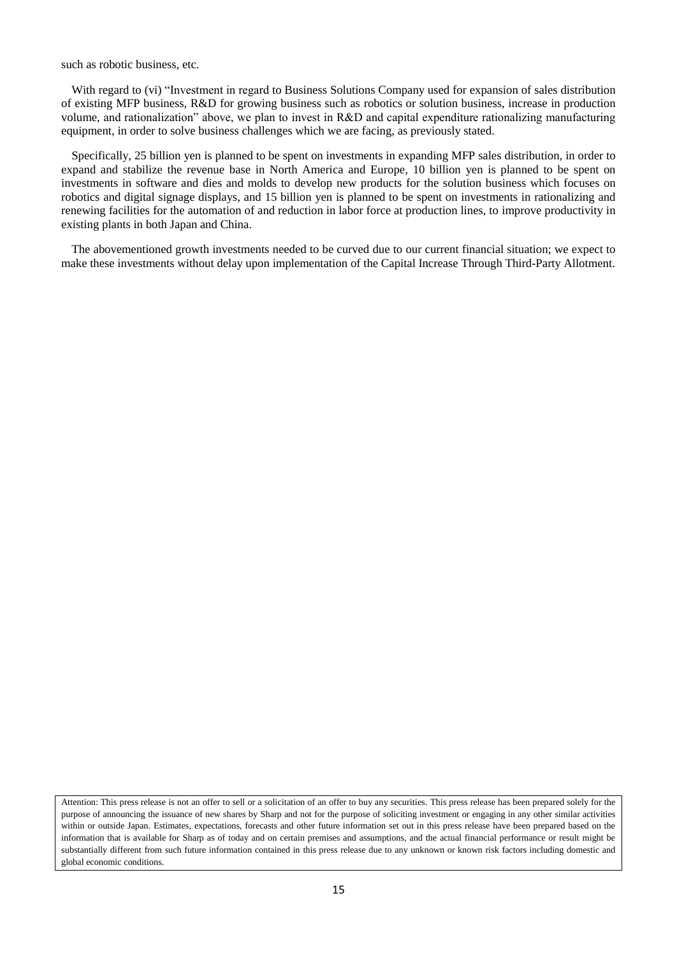such as robotic business, etc.

With regard to (vi) "Investment in regard to Business Solutions Company used for expansion of sales distribution of existing MFP business, R&D for growing business such as robotics or solution business, increase in production volume, and rationalization" above, we plan to invest in R&D and capital expenditure rationalizing manufacturing equipment, in order to solve business challenges which we are facing, as previously stated.

Specifically, 25 billion yen is planned to be spent on investments in expanding MFP sales distribution, in order to expand and stabilize the revenue base in North America and Europe, 10 billion yen is planned to be spent on investments in software and dies and molds to develop new products for the solution business which focuses on robotics and digital signage displays, and 15 billion yen is planned to be spent on investments in rationalizing and renewing facilities for the automation of and reduction in labor force at production lines, to improve productivity in existing plants in both Japan and China.

The abovementioned growth investments needed to be curved due to our current financial situation; we expect to make these investments without delay upon implementation of the Capital Increase Through Third-Party Allotment.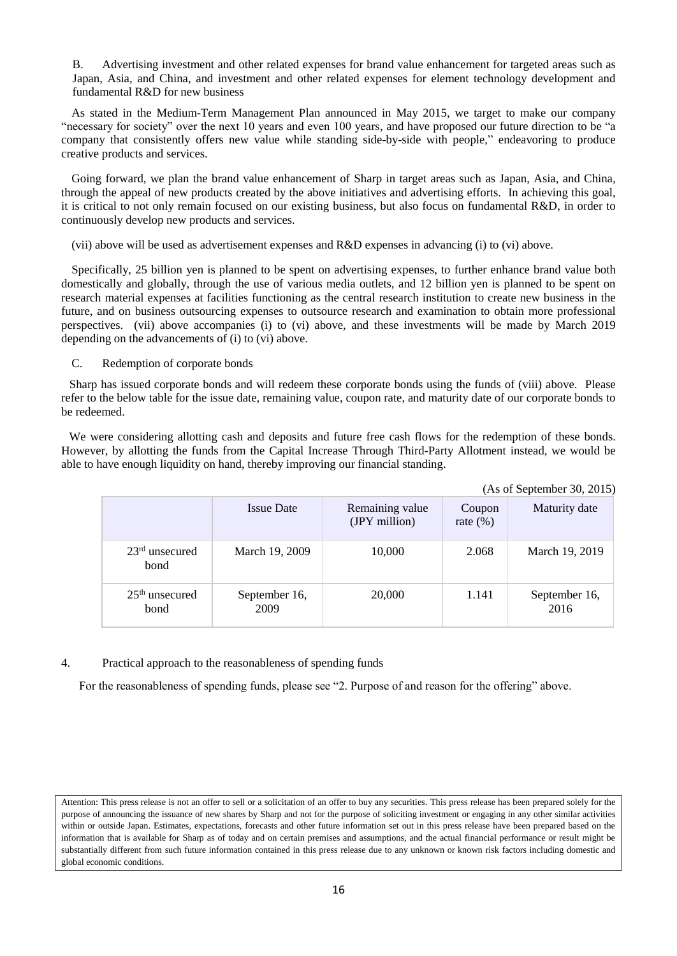B. Advertising investment and other related expenses for brand value enhancement for targeted areas such as Japan, Asia, and China, and investment and other related expenses for element technology development and fundamental R&D for new business

As stated in the Medium-Term Management Plan announced in May 2015, we target to make our company "necessary for society" over the next 10 years and even 100 years, and have proposed our future direction to be "a company that consistently offers new value while standing side-by-side with people," endeavoring to produce creative products and services.

Going forward, we plan the brand value enhancement of Sharp in target areas such as Japan, Asia, and China, through the appeal of new products created by the above initiatives and advertising efforts. In achieving this goal, it is critical to not only remain focused on our existing business, but also focus on fundamental R&D, in order to continuously develop new products and services.

(vii) above will be used as advertisement expenses and R&D expenses in advancing (i) to (vi) above.

Specifically, 25 billion yen is planned to be spent on advertising expenses, to further enhance brand value both domestically and globally, through the use of various media outlets, and 12 billion yen is planned to be spent on research material expenses at facilities functioning as the central research institution to create new business in the future, and on business outsourcing expenses to outsource research and examination to obtain more professional perspectives. (vii) above accompanies (i) to (vi) above, and these investments will be made by March 2019 depending on the advancements of (i) to (vi) above.

C. Redemption of corporate bonds

Sharp has issued corporate bonds and will redeem these corporate bonds using the funds of (viii) above. Please refer to the below table for the issue date, remaining value, coupon rate, and maturity date of our corporate bonds to be redeemed.

We were considering allotting cash and deposits and future free cash flows for the redemption of these bonds. However, by allotting the funds from the Capital Increase Through Third-Party Allotment instead, we would be able to have enough liquidity on hand, thereby improving our financial standing.

|                          |                       |                                  |                       | (As of September 30, 2015) |
|--------------------------|-----------------------|----------------------------------|-----------------------|----------------------------|
|                          | <b>Issue Date</b>     | Remaining value<br>(JPY million) | Coupon<br>rate $(\%)$ | Maturity date              |
| $23rd$ unsecured<br>bond | March 19, 2009        | 10,000                           | 2.068                 | March 19, 2019             |
| $25th$ unsecured<br>bond | September 16,<br>2009 | 20,000                           | 1.141                 | September 16,<br>2016      |

# 4. Practical approach to the reasonableness of spending funds

For the reasonableness of spending funds, please see "2. Purpose of and reason for the offering" above.

Attention: This press release is not an offer to sell or a solicitation of an offer to buy any securities. This press release has been prepared solely for the purpose of announcing the issuance of new shares by Sharp and not for the purpose of soliciting investment or engaging in any other similar activities within or outside Japan. Estimates, expectations, forecasts and other future information set out in this press release have been prepared based on the information that is available for Sharp as of today and on certain premises and assumptions, and the actual financial performance or result might be substantially different from such future information contained in this press release due to any unknown or known risk factors including domestic and global economic conditions.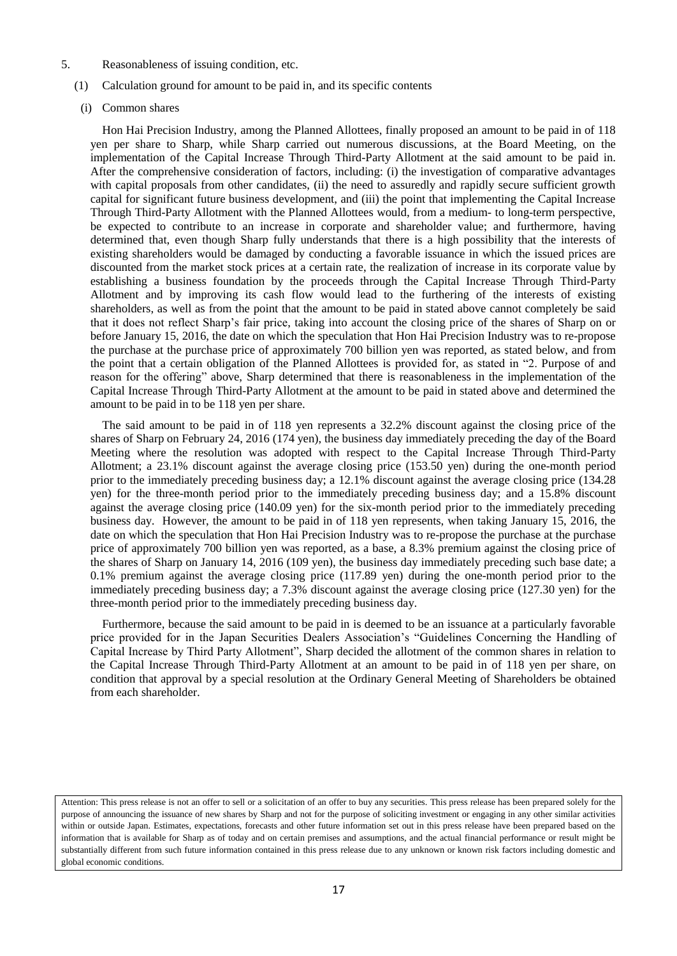- 5. Reasonableness of issuing condition, etc.
	- (1) Calculation ground for amount to be paid in, and its specific contents
		- (i) Common shares

Hon Hai Precision Industry, among the Planned Allottees, finally proposed an amount to be paid in of 118 yen per share to Sharp, while Sharp carried out numerous discussions, at the Board Meeting, on the implementation of the Capital Increase Through Third-Party Allotment at the said amount to be paid in. After the comprehensive consideration of factors, including: (i) the investigation of comparative advantages with capital proposals from other candidates, (ii) the need to assuredly and rapidly secure sufficient growth capital for significant future business development, and (iii) the point that implementing the Capital Increase Through Third-Party Allotment with the Planned Allottees would, from a medium- to long-term perspective, be expected to contribute to an increase in corporate and shareholder value; and furthermore, having determined that, even though Sharp fully understands that there is a high possibility that the interests of existing shareholders would be damaged by conducting a favorable issuance in which the issued prices are discounted from the market stock prices at a certain rate, the realization of increase in its corporate value by establishing a business foundation by the proceeds through the Capital Increase Through Third-Party Allotment and by improving its cash flow would lead to the furthering of the interests of existing shareholders, as well as from the point that the amount to be paid in stated above cannot completely be said that it does not reflect Sharp's fair price, taking into account the closing price of the shares of Sharp on or before January 15, 2016, the date on which the speculation that Hon Hai Precision Industry was to re-propose the purchase at the purchase price of approximately 700 billion yen was reported, as stated below, and from the point that a certain obligation of the Planned Allottees is provided for, as stated in "2. Purpose of and reason for the offering" above, Sharp determined that there is reasonableness in the implementation of the Capital Increase Through Third-Party Allotment at the amount to be paid in stated above and determined the amount to be paid in to be 118 yen per share.

The said amount to be paid in of 118 yen represents a 32.2% discount against the closing price of the shares of Sharp on February 24, 2016 (174 yen), the business day immediately preceding the day of the Board Meeting where the resolution was adopted with respect to the Capital Increase Through Third-Party Allotment; a 23.1% discount against the average closing price (153.50 yen) during the one-month period prior to the immediately preceding business day; a 12.1% discount against the average closing price (134.28 yen) for the three-month period prior to the immediately preceding business day; and a 15.8% discount against the average closing price (140.09 yen) for the six-month period prior to the immediately preceding business day. However, the amount to be paid in of 118 yen represents, when taking January 15, 2016, the date on which the speculation that Hon Hai Precision Industry was to re-propose the purchase at the purchase price of approximately 700 billion yen was reported, as a base, a 8.3% premium against the closing price of the shares of Sharp on January 14, 2016 (109 yen), the business day immediately preceding such base date; a 0.1% premium against the average closing price (117.89 yen) during the one-month period prior to the immediately preceding business day; a 7.3% discount against the average closing price (127.30 yen) for the three-month period prior to the immediately preceding business day.

Furthermore, because the said amount to be paid in is deemed to be an issuance at a particularly favorable price provided for in the Japan Securities Dealers Association's "Guidelines Concerning the Handling of Capital Increase by Third Party Allotment", Sharp decided the allotment of the common shares in relation to the Capital Increase Through Third-Party Allotment at an amount to be paid in of 118 yen per share, on condition that approval by a special resolution at the Ordinary General Meeting of Shareholders be obtained from each shareholder.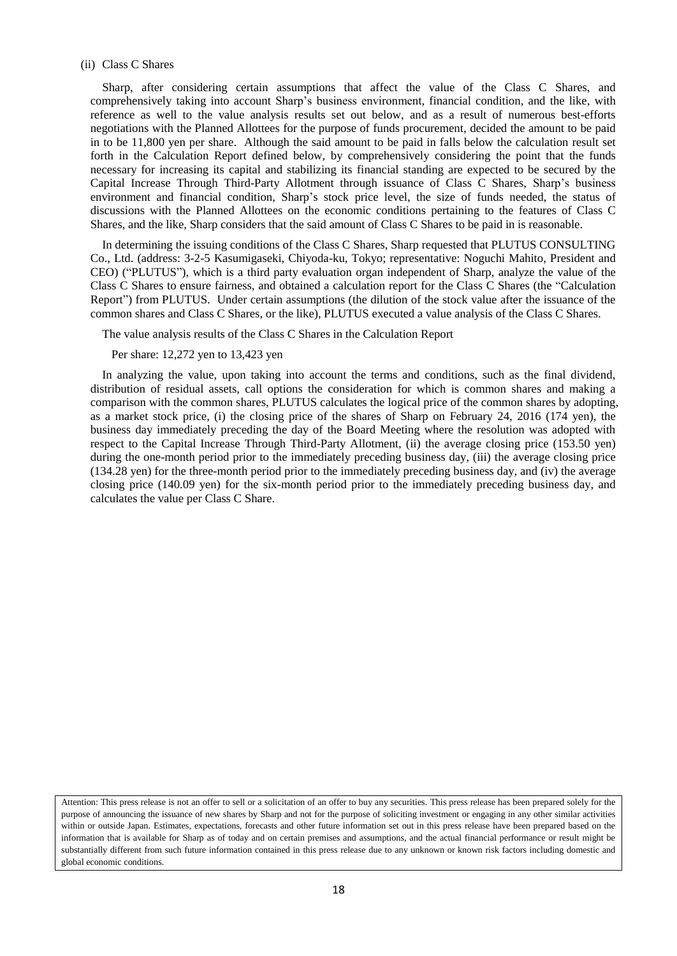#### (ii) Class C Shares

Sharp, after considering certain assumptions that affect the value of the Class C Shares, and comprehensively taking into account Sharp's business environment, financial condition, and the like, with reference as well to the value analysis results set out below, and as a result of numerous best-efforts negotiations with the Planned Allottees for the purpose of funds procurement, decided the amount to be paid in to be 11,800 yen per share. Although the said amount to be paid in falls below the calculation result set forth in the Calculation Report defined below, by comprehensively considering the point that the funds necessary for increasing its capital and stabilizing its financial standing are expected to be secured by the Capital Increase Through Third-Party Allotment through issuance of Class C Shares, Sharp's business environment and financial condition, Sharp's stock price level, the size of funds needed, the status of discussions with the Planned Allottees on the economic conditions pertaining to the features of Class C Shares, and the like, Sharp considers that the said amount of Class C Shares to be paid in is reasonable.

In determining the issuing conditions of the Class C Shares, Sharp requested that PLUTUS CONSULTING Co., Ltd. (address: 3-2-5 Kasumigaseki, Chiyoda-ku, Tokyo; representative: Noguchi Mahito, President and CEO) ("PLUTUS"), which is a third party evaluation organ independent of Sharp, analyze the value of the Class C Shares to ensure fairness, and obtained a calculation report for the Class C Shares (the "Calculation Report") from PLUTUS. Under certain assumptions (the dilution of the stock value after the issuance of the common shares and Class C Shares, or the like), PLUTUS executed a value analysis of the Class C Shares.

The value analysis results of the Class C Shares in the Calculation Report

Per share: 12,272 yen to 13,423 yen

In analyzing the value, upon taking into account the terms and conditions, such as the final dividend, distribution of residual assets, call options the consideration for which is common shares and making a comparison with the common shares, PLUTUS calculates the logical price of the common shares by adopting, as a market stock price, (i) the closing price of the shares of Sharp on February 24, 2016 (174 yen), the business day immediately preceding the day of the Board Meeting where the resolution was adopted with respect to the Capital Increase Through Third-Party Allotment, (ii) the average closing price (153.50 yen) during the one-month period prior to the immediately preceding business day, (iii) the average closing price (134.28 yen) for the three-month period prior to the immediately preceding business day, and (iv) the average closing price (140.09 yen) for the six-month period prior to the immediately preceding business day, and calculates the value per Class C Share.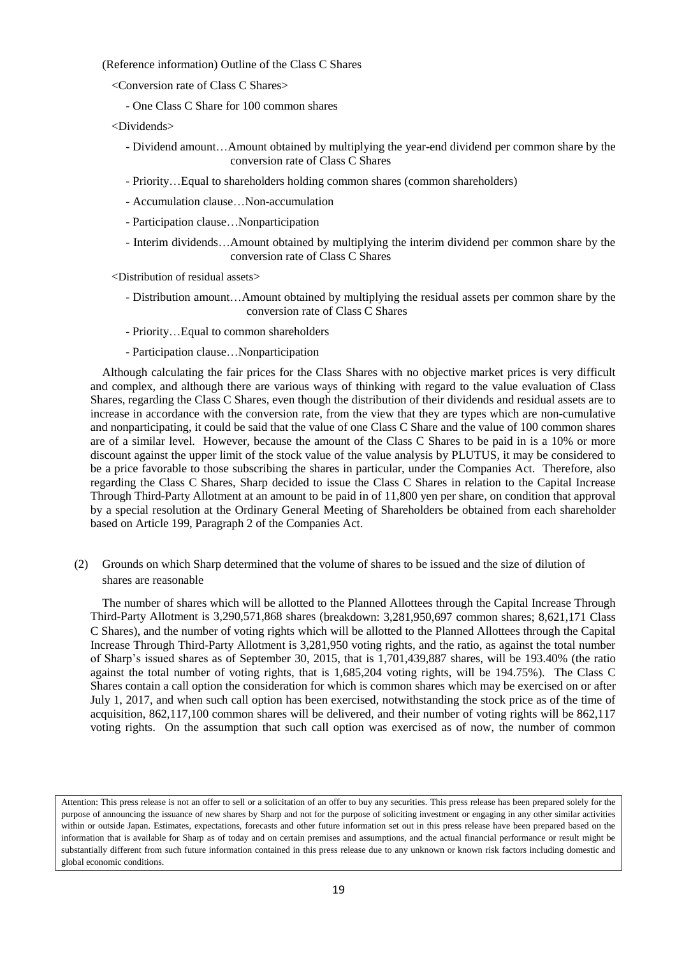(Reference information) Outline of the Class C Shares

- <Conversion rate of Class C Shares>
	- One Class C Share for 100 common shares
- <Dividends>
	- Dividend amount…Amount obtained by multiplying the year-end dividend per common share by the conversion rate of Class C Shares
	- Priority…Equal to shareholders holding common shares (common shareholders)
	- Accumulation clause…Non-accumulation
	- Participation clause…Nonparticipation
	- Interim dividends…Amount obtained by multiplying the interim dividend per common share by the conversion rate of Class C Shares

<Distribution of residual assets>

- Distribution amount…Amount obtained by multiplying the residual assets per common share by the conversion rate of Class C Shares
- Priority…Equal to common shareholders
- Participation clause…Nonparticipation

Although calculating the fair prices for the Class Shares with no objective market prices is very difficult and complex, and although there are various ways of thinking with regard to the value evaluation of Class Shares, regarding the Class C Shares, even though the distribution of their dividends and residual assets are to increase in accordance with the conversion rate, from the view that they are types which are non-cumulative and nonparticipating, it could be said that the value of one Class C Share and the value of 100 common shares are of a similar level. However, because the amount of the Class C Shares to be paid in is a 10% or more discount against the upper limit of the stock value of the value analysis by PLUTUS, it may be considered to be a price favorable to those subscribing the shares in particular, under the Companies Act. Therefore, also regarding the Class C Shares, Sharp decided to issue the Class C Shares in relation to the Capital Increase Through Third-Party Allotment at an amount to be paid in of 11,800 yen per share, on condition that approval by a special resolution at the Ordinary General Meeting of Shareholders be obtained from each shareholder based on Article 199, Paragraph 2 of the Companies Act.

(2) Grounds on which Sharp determined that the volume of shares to be issued and the size of dilution of shares are reasonable

The number of shares which will be allotted to the Planned Allottees through the Capital Increase Through Third-Party Allotment is 3,290,571,868 shares (breakdown: 3,281,950,697 common shares; 8,621,171 Class C Shares), and the number of voting rights which will be allotted to the Planned Allottees through the Capital Increase Through Third-Party Allotment is 3,281,950 voting rights, and the ratio, as against the total number of Sharp's issued shares as of September 30, 2015, that is 1,701,439,887 shares, will be 193.40% (the ratio against the total number of voting rights, that is 1,685,204 voting rights, will be 194.75%). The Class C Shares contain a call option the consideration for which is common shares which may be exercised on or after July 1, 2017, and when such call option has been exercised, notwithstanding the stock price as of the time of acquisition, 862,117,100 common shares will be delivered, and their number of voting rights will be 862,117 voting rights. On the assumption that such call option was exercised as of now, the number of common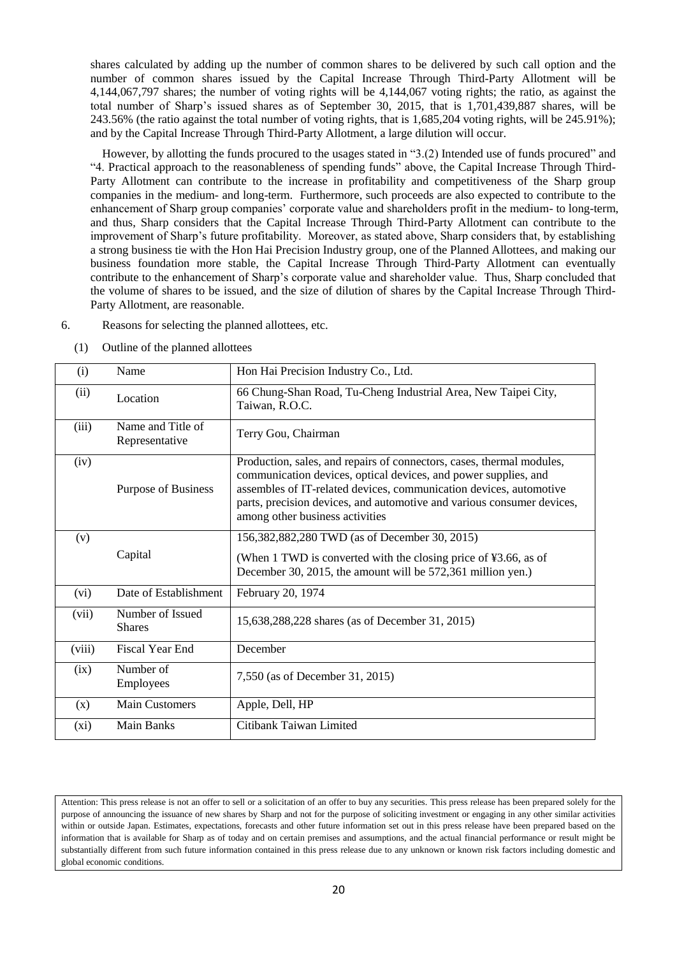shares calculated by adding up the number of common shares to be delivered by such call option and the number of common shares issued by the Capital Increase Through Third-Party Allotment will be 4,144,067,797 shares; the number of voting rights will be 4,144,067 voting rights; the ratio, as against the total number of Sharp's issued shares as of September 30, 2015, that is 1,701,439,887 shares, will be 243.56% (the ratio against the total number of voting rights, that is 1,685,204 voting rights, will be 245.91%); and by the Capital Increase Through Third-Party Allotment, a large dilution will occur.

However, by allotting the funds procured to the usages stated in "3.(2) Intended use of funds procured" and "4. Practical approach to the reasonableness of spending funds" above, the Capital Increase Through Third-Party Allotment can contribute to the increase in profitability and competitiveness of the Sharp group companies in the medium- and long-term. Furthermore, such proceeds are also expected to contribute to the enhancement of Sharp group companies' corporate value and shareholders profit in the medium- to long-term, and thus, Sharp considers that the Capital Increase Through Third-Party Allotment can contribute to the improvement of Sharp's future profitability. Moreover, as stated above, Sharp considers that, by establishing a strong business tie with the Hon Hai Precision Industry group, one of the Planned Allottees, and making our business foundation more stable, the Capital Increase Through Third-Party Allotment can eventually contribute to the enhancement of Sharp's corporate value and shareholder value. Thus, Sharp concluded that the volume of shares to be issued, and the size of dilution of shares by the Capital Increase Through Third-Party Allotment, are reasonable.

- 6. Reasons for selecting the planned allottees, etc.
	- (1) Outline of the planned allottees

| (i)     | Name                                | Hon Hai Precision Industry Co., Ltd.                                                                                                                                                                                                                                                                                        |
|---------|-------------------------------------|-----------------------------------------------------------------------------------------------------------------------------------------------------------------------------------------------------------------------------------------------------------------------------------------------------------------------------|
| (ii)    | Location                            | 66 Chung-Shan Road, Tu-Cheng Industrial Area, New Taipei City,<br>Taiwan, R.O.C.                                                                                                                                                                                                                                            |
| (iii)   | Name and Title of<br>Representative | Terry Gou, Chairman                                                                                                                                                                                                                                                                                                         |
| (iv)    | Purpose of Business                 | Production, sales, and repairs of connectors, cases, thermal modules,<br>communication devices, optical devices, and power supplies, and<br>assembles of IT-related devices, communication devices, automotive<br>parts, precision devices, and automotive and various consumer devices,<br>among other business activities |
| (v)     |                                     | 156,382,882,280 TWD (as of December 30, 2015)                                                                                                                                                                                                                                                                               |
|         | Capital                             | (When 1 TWD is converted with the closing price of $\text{\textsterling}3.66$ , as of<br>December 30, 2015, the amount will be 572,361 million yen.)                                                                                                                                                                        |
| (vi)    | Date of Establishment               | February 20, 1974                                                                                                                                                                                                                                                                                                           |
| (vii)   | Number of Issued<br><b>Shares</b>   | 15,638,288,228 shares (as of December 31, 2015)                                                                                                                                                                                                                                                                             |
| (viii)  | <b>Fiscal Year End</b>              | December                                                                                                                                                                                                                                                                                                                    |
| (ix)    | Number of<br>Employees              | 7,550 (as of December 31, 2015)                                                                                                                                                                                                                                                                                             |
| (x)     | <b>Main Customers</b>               | Apple, Dell, HP                                                                                                                                                                                                                                                                                                             |
| $(x_i)$ | <b>Main Banks</b>                   | Citibank Taiwan Limited                                                                                                                                                                                                                                                                                                     |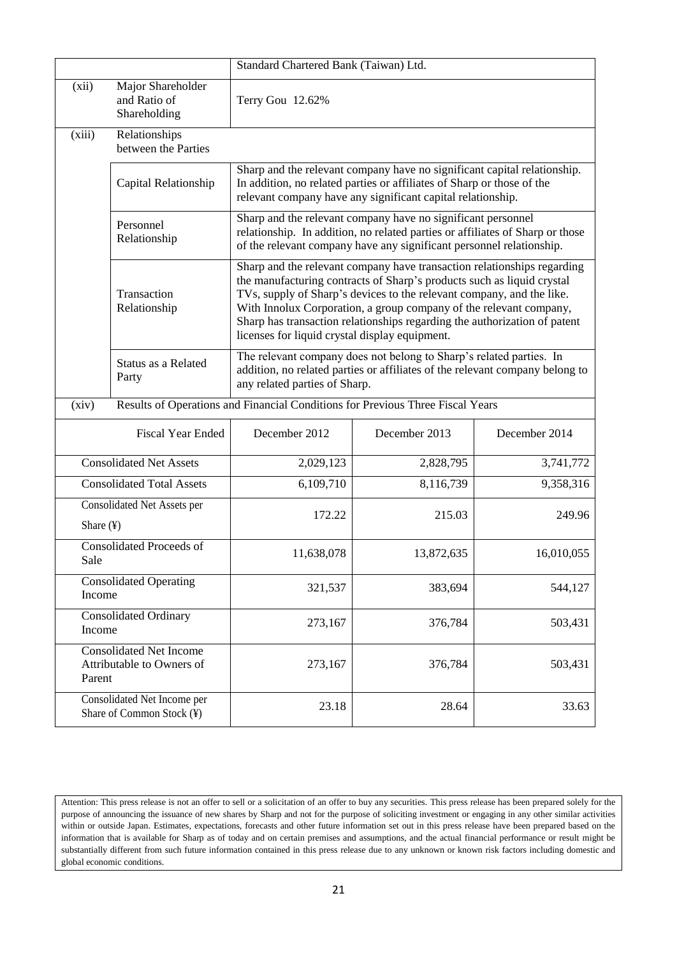|                                        |                                                             | Standard Chartered Bank (Taiwan) Ltd.                                          |                                                                                                                                                                                                                                                                                                                                                                               |               |
|----------------------------------------|-------------------------------------------------------------|--------------------------------------------------------------------------------|-------------------------------------------------------------------------------------------------------------------------------------------------------------------------------------------------------------------------------------------------------------------------------------------------------------------------------------------------------------------------------|---------------|
| (xii)                                  | Major Shareholder<br>and Ratio of<br>Shareholding           | Terry Gou 12.62%                                                               |                                                                                                                                                                                                                                                                                                                                                                               |               |
| (xiii)                                 | Relationships<br>between the Parties                        |                                                                                |                                                                                                                                                                                                                                                                                                                                                                               |               |
|                                        | Capital Relationship                                        |                                                                                | Sharp and the relevant company have no significant capital relationship.<br>In addition, no related parties or affiliates of Sharp or those of the<br>relevant company have any significant capital relationship.                                                                                                                                                             |               |
|                                        | Personnel<br>Relationship                                   |                                                                                | Sharp and the relevant company have no significant personnel<br>relationship. In addition, no related parties or affiliates of Sharp or those<br>of the relevant company have any significant personnel relationship.                                                                                                                                                         |               |
|                                        | Transaction<br>Relationship                                 | licenses for liquid crystal display equipment.                                 | Sharp and the relevant company have transaction relationships regarding<br>the manufacturing contracts of Sharp's products such as liquid crystal<br>TVs, supply of Sharp's devices to the relevant company, and the like.<br>With Innolux Corporation, a group company of the relevant company,<br>Sharp has transaction relationships regarding the authorization of patent |               |
|                                        | Status as a Related<br>Party                                | any related parties of Sharp.                                                  | The relevant company does not belong to Sharp's related parties. In<br>addition, no related parties or affiliates of the relevant company belong to                                                                                                                                                                                                                           |               |
| (xiv)                                  |                                                             | Results of Operations and Financial Conditions for Previous Three Fiscal Years |                                                                                                                                                                                                                                                                                                                                                                               |               |
|                                        | <b>Fiscal Year Ended</b>                                    | December 2012                                                                  | December 2013                                                                                                                                                                                                                                                                                                                                                                 | December 2014 |
|                                        | <b>Consolidated Net Assets</b>                              | 2,029,123                                                                      | 2,828,795                                                                                                                                                                                                                                                                                                                                                                     | 3,741,772     |
|                                        | <b>Consolidated Total Assets</b>                            | 6,109,710                                                                      | 8,116,739                                                                                                                                                                                                                                                                                                                                                                     | 9,358,316     |
| Share $(\frac{1}{2})$                  | Consolidated Net Assets per                                 | 172.22                                                                         | 215.03                                                                                                                                                                                                                                                                                                                                                                        | 249.96        |
| Sale                                   | <b>Consolidated Proceeds of</b>                             | 11,638,078                                                                     | 13,872,635                                                                                                                                                                                                                                                                                                                                                                    | 16,010,055    |
| Income                                 | <b>Consolidated Operating</b>                               | 321,537                                                                        | 383,694                                                                                                                                                                                                                                                                                                                                                                       | 544,127       |
| <b>Consolidated Ordinary</b><br>Income |                                                             | 273,167                                                                        | 376,784                                                                                                                                                                                                                                                                                                                                                                       | 503,431       |
| Parent                                 | <b>Consolidated Net Income</b><br>Attributable to Owners of | 273,167                                                                        | 376,784                                                                                                                                                                                                                                                                                                                                                                       | 503,431       |
|                                        | Consolidated Net Income per<br>Share of Common Stock (¥)    | 23.18                                                                          | 28.64                                                                                                                                                                                                                                                                                                                                                                         | 33.63         |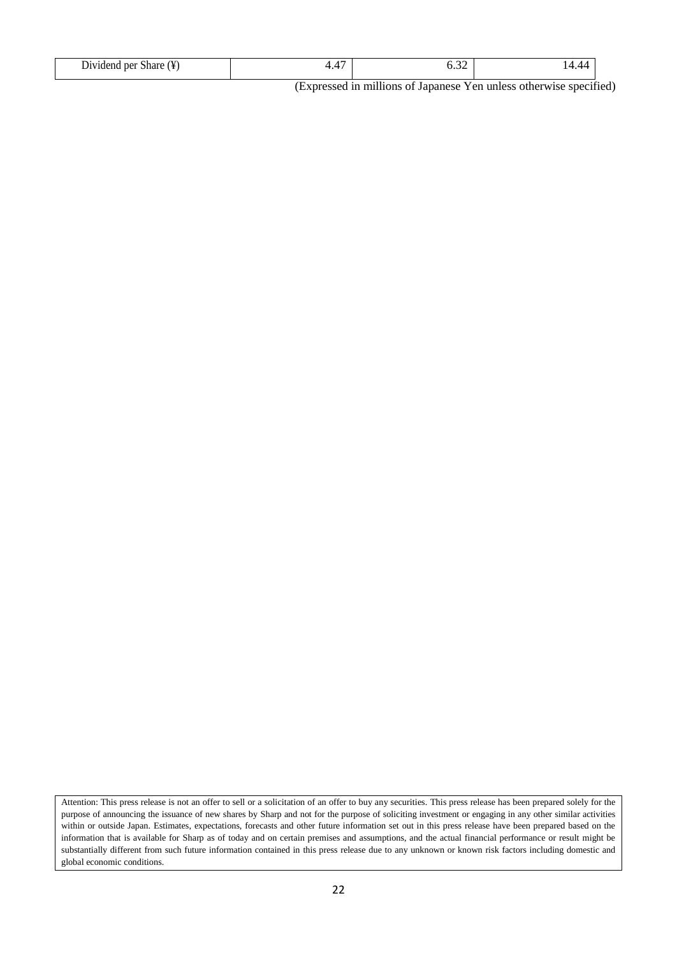(Expressed in millions of Japanese Yen unless otherwise specified)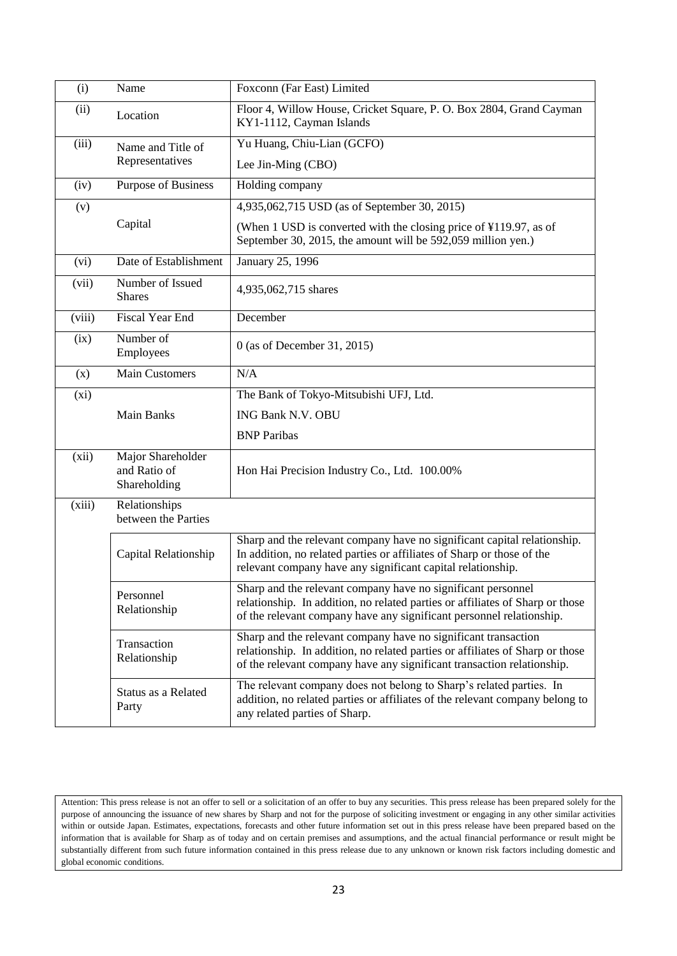| (i)    | Name                                              | Foxconn (Far East) Limited                                                                                                                                                                                                |
|--------|---------------------------------------------------|---------------------------------------------------------------------------------------------------------------------------------------------------------------------------------------------------------------------------|
| (ii)   | Location                                          | Floor 4, Willow House, Cricket Square, P. O. Box 2804, Grand Cayman<br>KY1-1112, Cayman Islands                                                                                                                           |
| (iii)  | Name and Title of                                 | Yu Huang, Chiu-Lian (GCFO)                                                                                                                                                                                                |
|        | Representatives                                   | Lee Jin-Ming (CBO)                                                                                                                                                                                                        |
| (iv)   | Purpose of Business                               | Holding company                                                                                                                                                                                                           |
| (v)    |                                                   | 4,935,062,715 USD (as of September 30, 2015)                                                                                                                                                                              |
|        | Capital                                           | (When 1 USD is converted with the closing price of ¥119.97, as of<br>September 30, 2015, the amount will be 592,059 million yen.)                                                                                         |
| (vi)   | Date of Establishment                             | January 25, 1996                                                                                                                                                                                                          |
| (vii)  | Number of Issued<br><b>Shares</b>                 | 4,935,062,715 shares                                                                                                                                                                                                      |
| (viii) | Fiscal Year End                                   | December                                                                                                                                                                                                                  |
| (ix)   | Number of<br>Employees                            | 0 (as of December 31, 2015)                                                                                                                                                                                               |
| (x)    | <b>Main Customers</b>                             | N/A                                                                                                                                                                                                                       |
| (xi)   |                                                   | The Bank of Tokyo-Mitsubishi UFJ, Ltd.                                                                                                                                                                                    |
|        | Main Banks                                        | ING Bank N.V. OBU                                                                                                                                                                                                         |
|        |                                                   | <b>BNP</b> Paribas                                                                                                                                                                                                        |
| (xii)  | Major Shareholder<br>and Ratio of<br>Shareholding | Hon Hai Precision Industry Co., Ltd. 100.00%                                                                                                                                                                              |
| (xiii) | Relationships<br>between the Parties              |                                                                                                                                                                                                                           |
|        | Capital Relationship                              | Sharp and the relevant company have no significant capital relationship.<br>In addition, no related parties or affiliates of Sharp or those of the<br>relevant company have any significant capital relationship.         |
|        | Personnel<br>Relationship                         | Sharp and the relevant company have no significant personnel<br>relationship. In addition, no related parties or affiliates of Sharp or those<br>of the relevant company have any significant personnel relationship.     |
|        | Transaction<br>Relationship                       | Sharp and the relevant company have no significant transaction<br>relationship. In addition, no related parties or affiliates of Sharp or those<br>of the relevant company have any significant transaction relationship. |
|        | Status as a Related<br>Party                      | The relevant company does not belong to Sharp's related parties. In<br>addition, no related parties or affiliates of the relevant company belong to<br>any related parties of Sharp.                                      |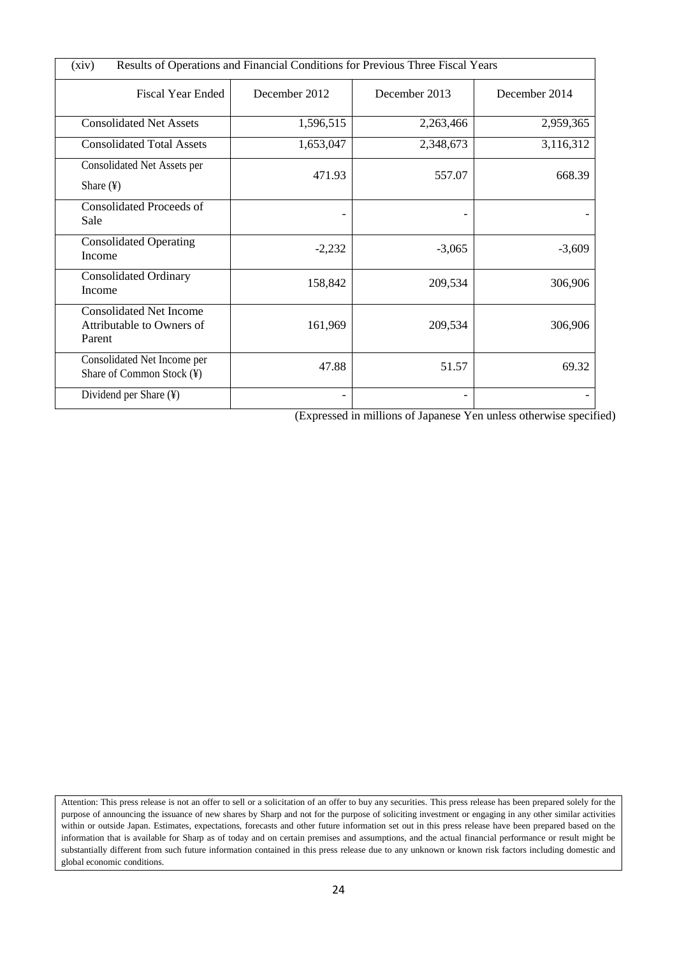| Results of Operations and Financial Conditions for Previous Three Fiscal Years<br>(xiv) |               |               |               |
|-----------------------------------------------------------------------------------------|---------------|---------------|---------------|
| <b>Fiscal Year Ended</b>                                                                | December 2012 | December 2013 | December 2014 |
| <b>Consolidated Net Assets</b>                                                          | 1,596,515     | 2,263,466     | 2,959,365     |
| <b>Consolidated Total Assets</b>                                                        | 1,653,047     | 2,348,673     | 3,116,312     |
| Consolidated Net Assets per<br>Share $(\frac{1}{2})$                                    | 471.93        | 557.07        | 668.39        |
| <b>Consolidated Proceeds of</b><br>Sale                                                 |               |               |               |
| <b>Consolidated Operating</b><br>Income                                                 | $-2,232$      | $-3,065$      | $-3,609$      |
| <b>Consolidated Ordinary</b><br>Income                                                  | 158,842       | 209,534       | 306,906       |
| <b>Consolidated Net Income</b><br>Attributable to Owners of<br>Parent                   | 161,969       | 209,534       | 306,906       |
| Consolidated Net Income per<br>Share of Common Stock (¥)                                | 47.88         | 51.57         | 69.32         |
| Dividend per Share (¥)                                                                  |               |               |               |

(Expressed in millions of Japanese Yen unless otherwise specified)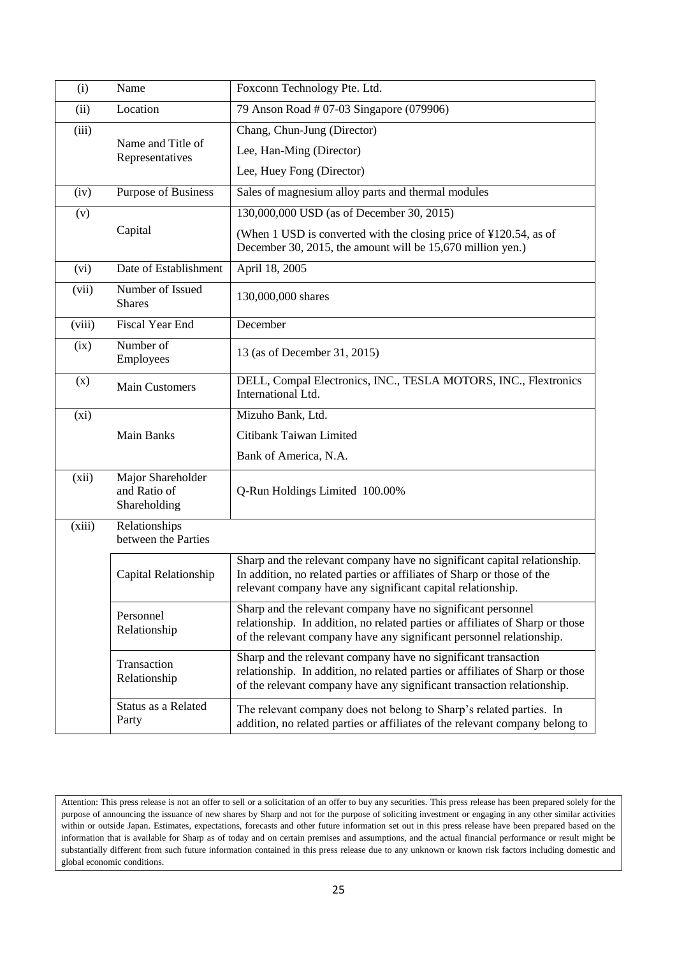| (i)    | Name                                              | Foxconn Technology Pte. Ltd.                                                                                                                                                                                              |
|--------|---------------------------------------------------|---------------------------------------------------------------------------------------------------------------------------------------------------------------------------------------------------------------------------|
| (ii)   | Location                                          | 79 Anson Road # 07-03 Singapore (079906)                                                                                                                                                                                  |
| (iii)  |                                                   | Chang, Chun-Jung (Director)                                                                                                                                                                                               |
|        | Name and Title of<br>Representatives              | Lee, Han-Ming (Director)                                                                                                                                                                                                  |
|        |                                                   | Lee, Huey Fong (Director)                                                                                                                                                                                                 |
| (iv)   | Purpose of Business                               | Sales of magnesium alloy parts and thermal modules                                                                                                                                                                        |
| (v)    |                                                   | 130,000,000 USD (as of December 30, 2015)                                                                                                                                                                                 |
|        | Capital                                           | (When 1 USD is converted with the closing price of $\text{\textsterling}120.54$ , as of<br>December 30, 2015, the amount will be 15,670 million yen.)                                                                     |
| (vi)   | Date of Establishment                             | April 18, 2005                                                                                                                                                                                                            |
| (vii)  | Number of Issued<br><b>Shares</b>                 | 130,000,000 shares                                                                                                                                                                                                        |
| (viii) | <b>Fiscal Year End</b>                            | December                                                                                                                                                                                                                  |
| (ix)   | Number of<br>Employees                            | 13 (as of December 31, 2015)                                                                                                                                                                                              |
| (x)    | <b>Main Customers</b>                             | DELL, Compal Electronics, INC., TESLA MOTORS, INC., Flextronics<br>International Ltd.                                                                                                                                     |
| (xi)   |                                                   | Mizuho Bank, Ltd.                                                                                                                                                                                                         |
|        | Main Banks                                        | Citibank Taiwan Limited                                                                                                                                                                                                   |
|        |                                                   | Bank of America, N.A.                                                                                                                                                                                                     |
| (xii)  | Major Shareholder<br>and Ratio of<br>Shareholding | Q-Run Holdings Limited 100.00%                                                                                                                                                                                            |
| (xiii) | Relationships<br>between the Parties              |                                                                                                                                                                                                                           |
|        | Capital Relationship                              | Sharp and the relevant company have no significant capital relationship.<br>In addition, no related parties or affiliates of Sharp or those of the<br>relevant company have any significant capital relationship.         |
|        | Personnel<br>Relationship                         | Sharp and the relevant company have no significant personnel<br>relationship. In addition, no related parties or affiliates of Sharp or those<br>of the relevant company have any significant personnel relationship.     |
|        | Transaction<br>Relationship                       | Sharp and the relevant company have no significant transaction<br>relationship. In addition, no related parties or affiliates of Sharp or those<br>of the relevant company have any significant transaction relationship. |
|        | Status as a Related<br>Party                      | The relevant company does not belong to Sharp's related parties. In<br>addition, no related parties or affiliates of the relevant company belong to                                                                       |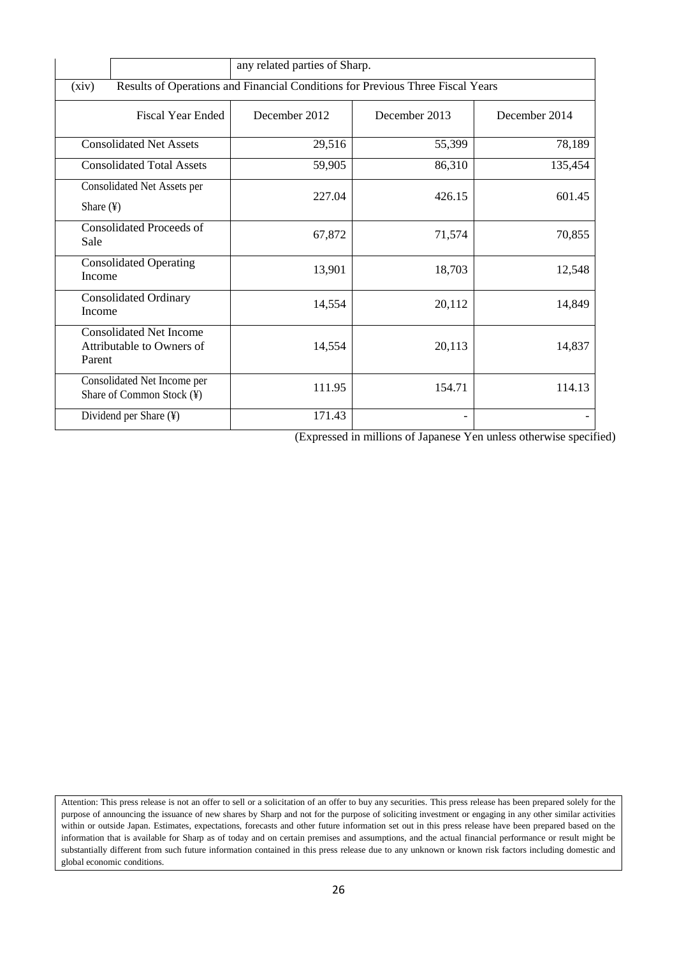|                                                                                         | any related parties of Sharp. |               |               |
|-----------------------------------------------------------------------------------------|-------------------------------|---------------|---------------|
| Results of Operations and Financial Conditions for Previous Three Fiscal Years<br>(xiv) |                               |               |               |
| <b>Fiscal Year Ended</b>                                                                | December 2012                 | December 2013 | December 2014 |
| <b>Consolidated Net Assets</b>                                                          | 29,516                        | 55,399        | 78,189        |
| <b>Consolidated Total Assets</b>                                                        | 59,905                        | 86,310        | 135,454       |
| Consolidated Net Assets per<br>Share $(\frac{1}{2})$                                    | 227.04                        | 426.15        | 601.45        |
| <b>Consolidated Proceeds of</b><br>Sale                                                 | 67,872                        | 71,574        | 70,855        |
| <b>Consolidated Operating</b><br>Income                                                 | 13,901                        | 18,703        | 12,548        |
| <b>Consolidated Ordinary</b><br><b>Income</b>                                           | 14,554                        | 20,112        | 14,849        |
| <b>Consolidated Net Income</b><br>Attributable to Owners of<br>Parent                   | 14,554                        | 20,113        | 14,837        |
| Consolidated Net Income per<br>Share of Common Stock (¥)                                | 111.95                        | 154.71        | 114.13        |
| Dividend per Share (¥)                                                                  | 171.43                        |               |               |

(Expressed in millions of Japanese Yen unless otherwise specified)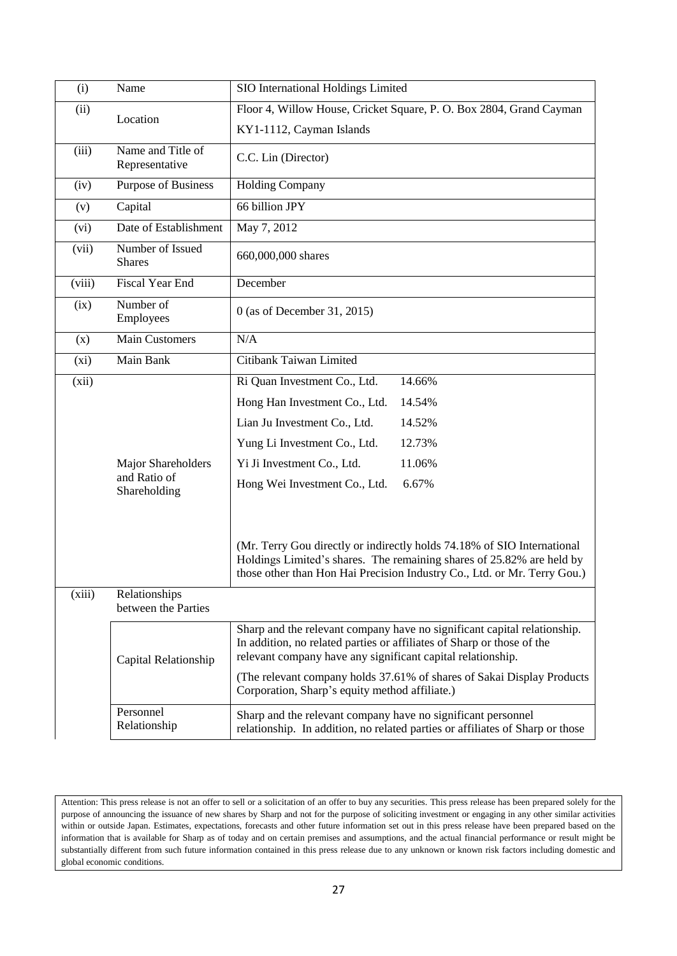| (i)    | Name                                 | SIO International Holdings Limited                                                                                                                                                                                           |  |  |
|--------|--------------------------------------|------------------------------------------------------------------------------------------------------------------------------------------------------------------------------------------------------------------------------|--|--|
|        |                                      |                                                                                                                                                                                                                              |  |  |
| (ii)   | Location                             | Floor 4, Willow House, Cricket Square, P. O. Box 2804, Grand Cayman                                                                                                                                                          |  |  |
|        |                                      | KY1-1112, Cayman Islands                                                                                                                                                                                                     |  |  |
| (iii)  | Name and Title of<br>Representative  | C.C. Lin (Director)                                                                                                                                                                                                          |  |  |
| (iv)   | Purpose of Business                  | <b>Holding Company</b>                                                                                                                                                                                                       |  |  |
| (v)    | Capital                              | 66 billion JPY                                                                                                                                                                                                               |  |  |
| (vi)   | Date of Establishment                | May 7, 2012                                                                                                                                                                                                                  |  |  |
| (vii)  | Number of Issued<br><b>Shares</b>    | 660,000,000 shares                                                                                                                                                                                                           |  |  |
| (viii) | <b>Fiscal Year End</b>               | December                                                                                                                                                                                                                     |  |  |
| (ix)   | Number of<br>Employees               | 0 (as of December 31, 2015)                                                                                                                                                                                                  |  |  |
| (x)    | <b>Main Customers</b>                | N/A                                                                                                                                                                                                                          |  |  |
| (xi)   | Main Bank                            | Citibank Taiwan Limited                                                                                                                                                                                                      |  |  |
| (xii)  |                                      | Ri Quan Investment Co., Ltd.<br>14.66%                                                                                                                                                                                       |  |  |
|        |                                      | Hong Han Investment Co., Ltd.<br>14.54%                                                                                                                                                                                      |  |  |
|        |                                      | Lian Ju Investment Co., Ltd.<br>14.52%                                                                                                                                                                                       |  |  |
|        |                                      | Yung Li Investment Co., Ltd.<br>12.73%                                                                                                                                                                                       |  |  |
|        | Major Shareholders                   | Yi Ji Investment Co., Ltd.<br>11.06%                                                                                                                                                                                         |  |  |
|        | and Ratio of                         | Hong Wei Investment Co., Ltd.<br>6.67%                                                                                                                                                                                       |  |  |
|        | Shareholding                         |                                                                                                                                                                                                                              |  |  |
|        |                                      |                                                                                                                                                                                                                              |  |  |
|        |                                      | (Mr. Terry Gou directly or indirectly holds 74.18% of SIO International<br>Holdings Limited's shares. The remaining shares of 25.82% are held by<br>those other than Hon Hai Precision Industry Co., Ltd. or Mr. Terry Gou.) |  |  |
| (xiii) | Relationships<br>between the Parties |                                                                                                                                                                                                                              |  |  |
|        | Capital Relationship                 | Sharp and the relevant company have no significant capital relationship.<br>In addition, no related parties or affiliates of Sharp or those of the<br>relevant company have any significant capital relationship.            |  |  |
|        |                                      | (The relevant company holds 37.61% of shares of Sakai Display Products<br>Corporation, Sharp's equity method affiliate.)                                                                                                     |  |  |
|        | Personnel<br>Relationship            | Sharp and the relevant company have no significant personnel<br>relationship. In addition, no related parties or affiliates of Sharp or those                                                                                |  |  |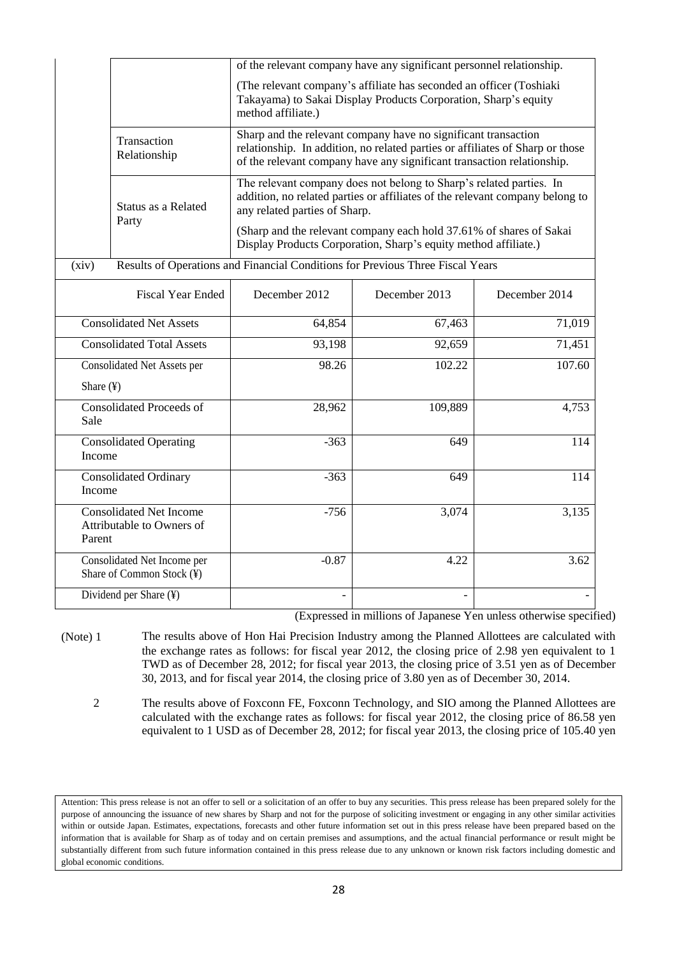|                                        |                                                                                          | of the relevant company have any significant personnel relationship.                                                                                                                 |                                                                                                                                                                                                                           |        |  |
|----------------------------------------|------------------------------------------------------------------------------------------|--------------------------------------------------------------------------------------------------------------------------------------------------------------------------------------|---------------------------------------------------------------------------------------------------------------------------------------------------------------------------------------------------------------------------|--------|--|
|                                        |                                                                                          | (The relevant company's affiliate has seconded an officer (Toshiaki<br>Takayama) to Sakai Display Products Corporation, Sharp's equity<br>method affiliate.)                         |                                                                                                                                                                                                                           |        |  |
|                                        | Transaction<br>Relationship                                                              |                                                                                                                                                                                      | Sharp and the relevant company have no significant transaction<br>relationship. In addition, no related parties or affiliates of Sharp or those<br>of the relevant company have any significant transaction relationship. |        |  |
|                                        | Status as a Related<br>Party                                                             | The relevant company does not belong to Sharp's related parties. In<br>addition, no related parties or affiliates of the relevant company belong to<br>any related parties of Sharp. |                                                                                                                                                                                                                           |        |  |
|                                        |                                                                                          | (Sharp and the relevant company each hold 37.61% of shares of Sakai<br>Display Products Corporation, Sharp's equity method affiliate.)                                               |                                                                                                                                                                                                                           |        |  |
| (xiv)                                  |                                                                                          | Results of Operations and Financial Conditions for Previous Three Fiscal Years                                                                                                       |                                                                                                                                                                                                                           |        |  |
|                                        | <b>Fiscal Year Ended</b><br>December 2012<br>December 2013<br>December 2014              |                                                                                                                                                                                      |                                                                                                                                                                                                                           |        |  |
|                                        | <b>Consolidated Net Assets</b><br>64,854<br>67,463                                       |                                                                                                                                                                                      | 71,019                                                                                                                                                                                                                    |        |  |
|                                        | <b>Consolidated Total Assets</b><br>93,198<br>92,659                                     |                                                                                                                                                                                      | 71,451                                                                                                                                                                                                                    |        |  |
|                                        | Consolidated Net Assets per                                                              | 98.26                                                                                                                                                                                | 102.22                                                                                                                                                                                                                    | 107.60 |  |
| Share (¥)                              |                                                                                          |                                                                                                                                                                                      |                                                                                                                                                                                                                           |        |  |
| Sale                                   | <b>Consolidated Proceeds of</b><br>28,962<br>109,889                                     |                                                                                                                                                                                      | 4,753                                                                                                                                                                                                                     |        |  |
|                                        | <b>Consolidated Operating</b><br>$-363$<br>649<br>Income                                 |                                                                                                                                                                                      | 114                                                                                                                                                                                                                       |        |  |
| <b>Consolidated Ordinary</b><br>Income |                                                                                          | $-363$                                                                                                                                                                               | 649                                                                                                                                                                                                                       | 114    |  |
|                                        | <b>Consolidated Net Income</b><br>$-756$<br>3,074<br>Attributable to Owners of<br>Parent |                                                                                                                                                                                      | 3,135                                                                                                                                                                                                                     |        |  |
|                                        | Consolidated Net Income per<br>Share of Common Stock (¥)                                 | $-0.87$                                                                                                                                                                              | 4.22                                                                                                                                                                                                                      | 3.62   |  |
|                                        | Dividend per Share (¥)                                                                   |                                                                                                                                                                                      |                                                                                                                                                                                                                           |        |  |

(Expressed in millions of Japanese Yen unless otherwise specified)

(Note) 1 The results above of Hon Hai Precision Industry among the Planned Allottees are calculated with the exchange rates as follows: for fiscal year 2012, the closing price of 2.98 yen equivalent to 1 TWD as of December 28, 2012; for fiscal year 2013, the closing price of 3.51 yen as of December 30, 2013, and for fiscal year 2014, the closing price of 3.80 yen as of December 30, 2014.

2 The results above of Foxconn FE, Foxconn Technology, and SIO among the Planned Allottees are calculated with the exchange rates as follows: for fiscal year 2012, the closing price of 86.58 yen equivalent to 1 USD as of December 28, 2012; for fiscal year 2013, the closing price of 105.40 yen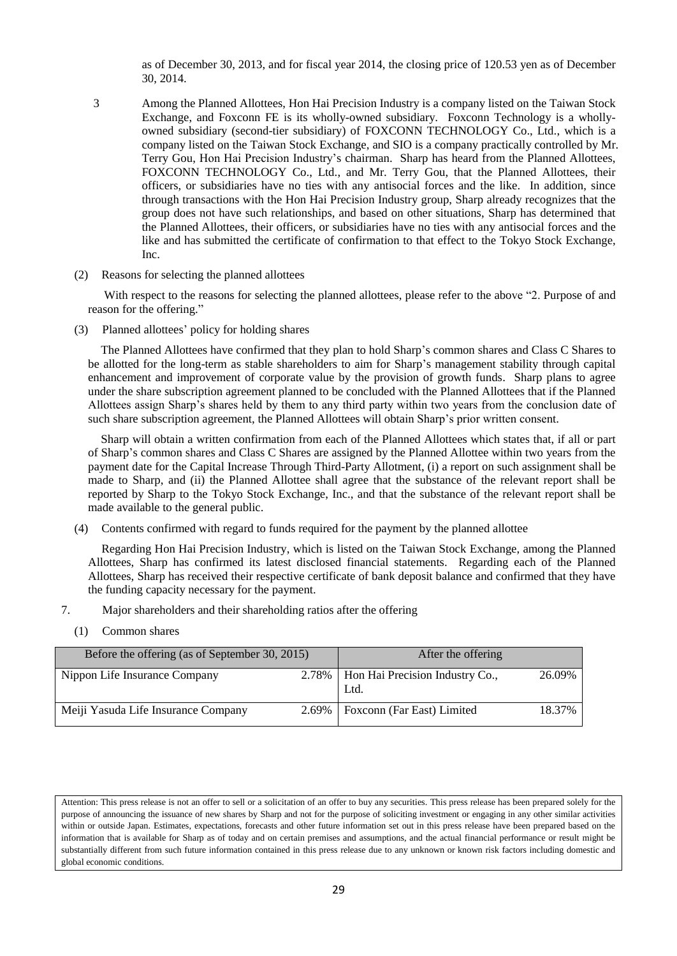as of December 30, 2013, and for fiscal year 2014, the closing price of 120.53 yen as of December 30, 2014.

- 3 Among the Planned Allottees, Hon Hai Precision Industry is a company listed on the Taiwan Stock Exchange, and Foxconn FE is its wholly-owned subsidiary. Foxconn Technology is a whollyowned subsidiary (second-tier subsidiary) of FOXCONN TECHNOLOGY Co., Ltd., which is a company listed on the Taiwan Stock Exchange, and SIO is a company practically controlled by Mr. Terry Gou, Hon Hai Precision Industry's chairman. Sharp has heard from the Planned Allottees, FOXCONN TECHNOLOGY Co., Ltd., and Mr. Terry Gou, that the Planned Allottees, their officers, or subsidiaries have no ties with any antisocial forces and the like. In addition, since through transactions with the Hon Hai Precision Industry group, Sharp already recognizes that the group does not have such relationships, and based on other situations, Sharp has determined that the Planned Allottees, their officers, or subsidiaries have no ties with any antisocial forces and the like and has submitted the certificate of confirmation to that effect to the Tokyo Stock Exchange, Inc.
- (2) Reasons for selecting the planned allottees

With respect to the reasons for selecting the planned allottees, please refer to the above "2. Purpose of and reason for the offering."

(3) Planned allottees' policy for holding shares

The Planned Allottees have confirmed that they plan to hold Sharp's common shares and Class C Shares to be allotted for the long-term as stable shareholders to aim for Sharp's management stability through capital enhancement and improvement of corporate value by the provision of growth funds. Sharp plans to agree under the share subscription agreement planned to be concluded with the Planned Allottees that if the Planned Allottees assign Sharp's shares held by them to any third party within two years from the conclusion date of such share subscription agreement, the Planned Allottees will obtain Sharp's prior written consent.

Sharp will obtain a written confirmation from each of the Planned Allottees which states that, if all or part of Sharp's common shares and Class C Shares are assigned by the Planned Allottee within two years from the payment date for the Capital Increase Through Third-Party Allotment, (i) a report on such assignment shall be made to Sharp, and (ii) the Planned Allottee shall agree that the substance of the relevant report shall be reported by Sharp to the Tokyo Stock Exchange, Inc., and that the substance of the relevant report shall be made available to the general public.

(4) Contents confirmed with regard to funds required for the payment by the planned allottee

Regarding Hon Hai Precision Industry, which is listed on the Taiwan Stock Exchange, among the Planned Allottees, Sharp has confirmed its latest disclosed financial statements. Regarding each of the Planned Allottees, Sharp has received their respective certificate of bank deposit balance and confirmed that they have the funding capacity necessary for the payment.

- 7. Major shareholders and their shareholding ratios after the offering
	- (1) Common shares

| Before the offering (as of September 30, 2015) | After the offering                              |        |
|------------------------------------------------|-------------------------------------------------|--------|
| Nippon Life Insurance Company                  | 2.78%   Hon Hai Precision Industry Co.,<br>Ltd. | 26.09% |
| Meiji Yasuda Life Insurance Company            | 2.69%   Foxconn (Far East) Limited              | 18.37% |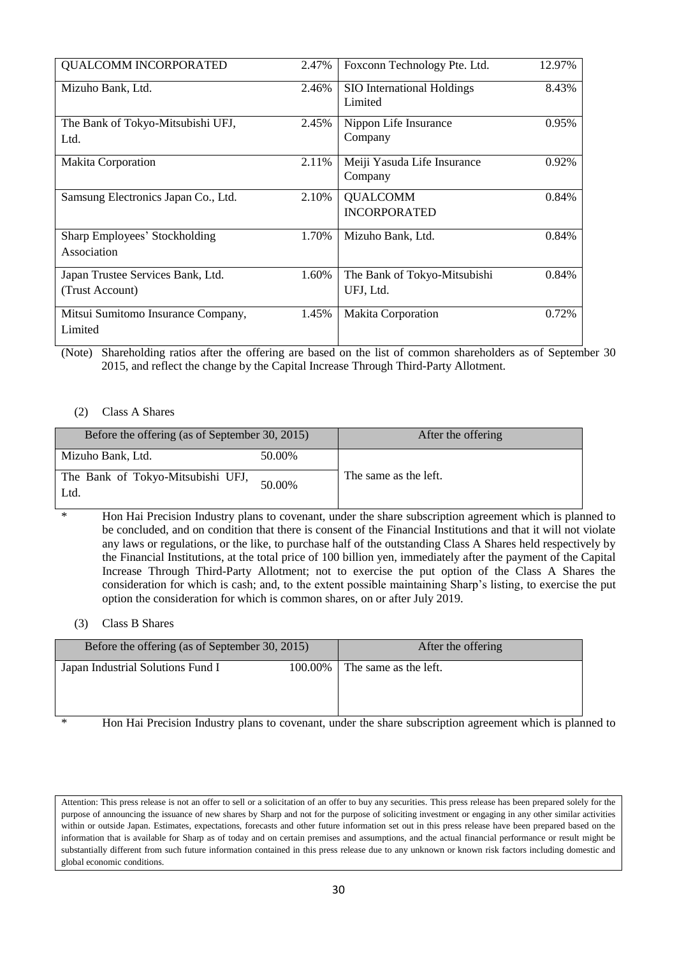| <b>QUALCOMM INCORPORATED</b>                         | 2.47% | Foxconn Technology Pte. Ltd.              | 12.97% |
|------------------------------------------------------|-------|-------------------------------------------|--------|
| Mizuho Bank, Ltd.                                    | 2.46% | SIO International Holdings<br>Limited     | 8.43%  |
| The Bank of Tokyo-Mitsubishi UFJ,<br>Ltd.            | 2.45% | Nippon Life Insurance<br>Company          | 0.95%  |
| <b>Makita Corporation</b>                            | 2.11% | Meiji Yasuda Life Insurance<br>Company    | 0.92%  |
| Samsung Electronics Japan Co., Ltd.                  | 2.10% | <b>QUALCOMM</b><br><b>INCORPORATED</b>    | 0.84%  |
| <b>Sharp Employees' Stockholding</b><br>Association  | 1.70% | Mizuho Bank, Ltd.                         | 0.84%  |
| Japan Trustee Services Bank, Ltd.<br>(Trust Account) | 1.60% | The Bank of Tokyo-Mitsubishi<br>UFJ, Ltd. | 0.84%  |
| Mitsui Sumitomo Insurance Company,<br>Limited        | 1.45% | <b>Makita Corporation</b>                 | 0.72%  |

(Note) Shareholding ratios after the offering are based on the list of common shareholders as of September 30 2015, and reflect the change by the Capital Increase Through Third-Party Allotment.

### (2) Class A Shares

| Before the offering (as of September 30, 2015) |        | After the offering    |
|------------------------------------------------|--------|-----------------------|
| Mizuho Bank, Ltd.                              | 50.00% |                       |
| The Bank of Tokyo-Mitsubishi UFJ,<br>Ltd.      | 50.00% | The same as the left. |

\* Hon Hai Precision Industry plans to covenant, under the share subscription agreement which is planned to be concluded, and on condition that there is consent of the Financial Institutions and that it will not violate any laws or regulations, or the like, to purchase half of the outstanding Class A Shares held respectively by the Financial Institutions, at the total price of 100 billion yen, immediately after the payment of the Capital Increase Through Third-Party Allotment; not to exercise the put option of the Class A Shares the consideration for which is cash; and, to the extent possible maintaining Sharp's listing, to exercise the put option the consideration for which is common shares, on or after July 2019.

# (3) Class B Shares

| Before the offering (as of September 30, 2015) |         | After the offering                                                                                      |
|------------------------------------------------|---------|---------------------------------------------------------------------------------------------------------|
| Japan Industrial Solutions Fund I              | 100.00% | The same as the left.                                                                                   |
|                                                |         |                                                                                                         |
|                                                |         | Uga Ugi Dagaigiga Industry plane to government, under the chara subserintian government vihigh is plant |

\* Hon Hai Precision Industry plans to covenant, under the share subscription agreement which is planned to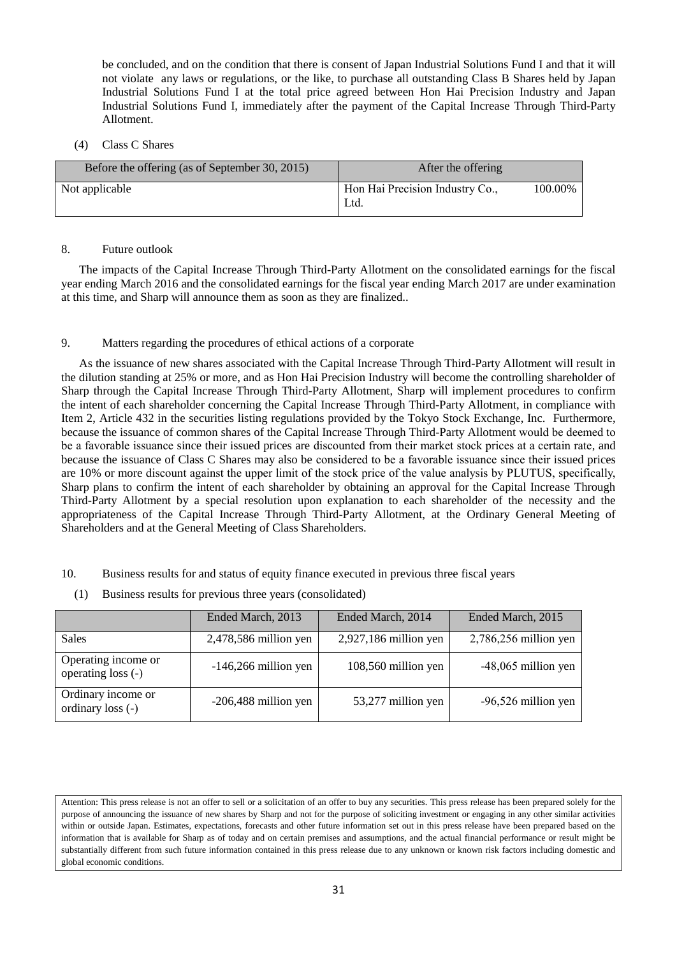be concluded, and on the condition that there is consent of Japan Industrial Solutions Fund I and that it will not violate any laws or regulations, or the like, to purchase all outstanding Class B Shares held by Japan Industrial Solutions Fund I at the total price agreed between Hon Hai Precision Industry and Japan Industrial Solutions Fund I, immediately after the payment of the Capital Increase Through Third-Party Allotment.

### (4) Class C Shares

| Before the offering (as of September 30, 2015) | After the offering                      |         |
|------------------------------------------------|-----------------------------------------|---------|
| Not applicable                                 | Hon Hai Precision Industry Co.,<br>Ltd. | 100.00% |

### 8. Future outlook

The impacts of the Capital Increase Through Third-Party Allotment on the consolidated earnings for the fiscal year ending March 2016 and the consolidated earnings for the fiscal year ending March 2017 are under examination at this time, and Sharp will announce them as soon as they are finalized..

# 9. Matters regarding the procedures of ethical actions of a corporate

As the issuance of new shares associated with the Capital Increase Through Third-Party Allotment will result in the dilution standing at 25% or more, and as Hon Hai Precision Industry will become the controlling shareholder of Sharp through the Capital Increase Through Third-Party Allotment, Sharp will implement procedures to confirm the intent of each shareholder concerning the Capital Increase Through Third-Party Allotment, in compliance with Item 2, Article 432 in the securities listing regulations provided by the Tokyo Stock Exchange, Inc. Furthermore, because the issuance of common shares of the Capital Increase Through Third-Party Allotment would be deemed to be a favorable issuance since their issued prices are discounted from their market stock prices at a certain rate, and because the issuance of Class C Shares may also be considered to be a favorable issuance since their issued prices are 10% or more discount against the upper limit of the stock price of the value analysis by PLUTUS, specifically, Sharp plans to confirm the intent of each shareholder by obtaining an approval for the Capital Increase Through Third-Party Allotment by a special resolution upon explanation to each shareholder of the necessity and the appropriateness of the Capital Increase Through Third-Party Allotment, at the Ordinary General Meeting of Shareholders and at the General Meeting of Class Shareholders.

- 10. Business results for and status of equity finance executed in previous three fiscal years
	- (1) Business results for previous three years (consolidated)

|                                           | Ended March, 2013       | Ended March, 2014       | Ended March, 2015       |
|-------------------------------------------|-------------------------|-------------------------|-------------------------|
| Sales                                     | $2,478,586$ million yen | $2,927,186$ million yen | $2,786,256$ million yen |
| Operating income or<br>operating loss (-) | $-146,266$ million yen  | 108,560 million yen     | $-48,065$ million yen   |
| Ordinary income or<br>ordinary loss (-)   | $-206,488$ million yen  | 53,277 million yen      | $-96,526$ million yen   |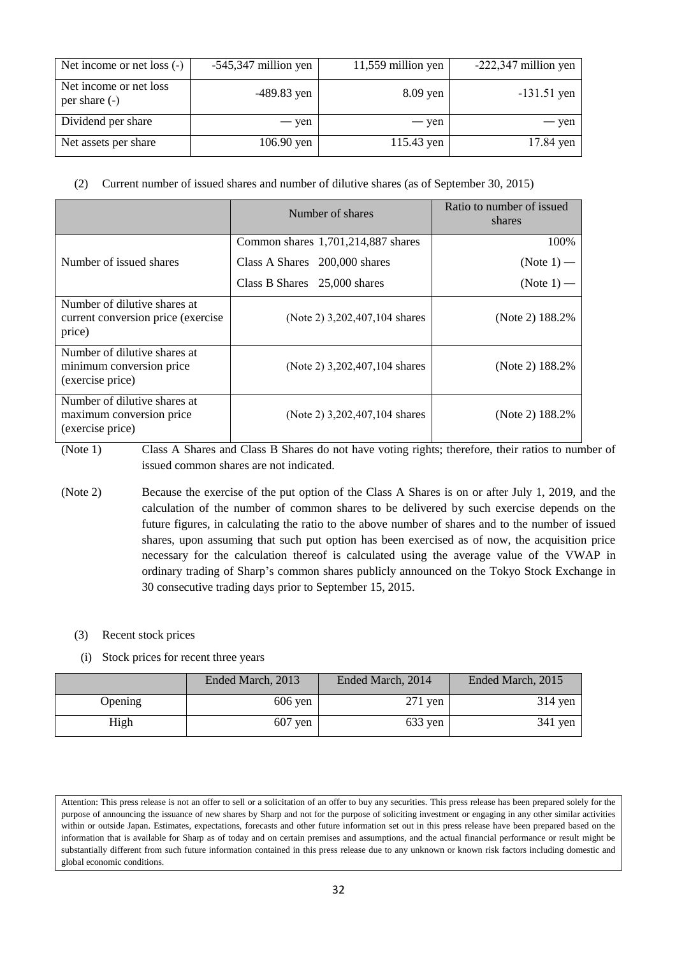| Net income or net loss (-)                | $-545,347$ million yen | 11,559 million yen | $-222,347$ million yen |
|-------------------------------------------|------------------------|--------------------|------------------------|
| Net income or net loss<br>per share $(-)$ | $-489.83$ yen          | 8.09 yen           | $-131.51$ yen          |
| Dividend per share                        | — yen                  | — yen              | — yen                  |
| Net assets per share                      | 106.90 yen             | 115.43 yen         | 17.84 yen              |

# (2) Current number of issued shares and number of dilutive shares (as of September 30, 2015)

|                                                                               | Number of shares                   | Ratio to number of issued<br>shares |
|-------------------------------------------------------------------------------|------------------------------------|-------------------------------------|
|                                                                               | Common shares 1,701,214,887 shares | 100%                                |
| Number of issued shares                                                       | Class A Shares 200,000 shares      | (Note $1$ ) —                       |
|                                                                               | Class B Shares 25,000 shares       | $(Note 1)$ —                        |
| Number of dilutive shares at<br>current conversion price (exercise)<br>price) | (Note 2) 3,202,407,104 shares      | (Note 2) 188.2%                     |
| Number of dilutive shares at<br>minimum conversion price.<br>(exercise price) | (Note 2) 3,202,407,104 shares      | (Note 2) 188.2%                     |
| Number of dilutive shares at<br>maximum conversion price<br>(exercise price)  | (Note 2) 3,202,407,104 shares      | (Note 2) 188.2%                     |

(Note 1) Class A Shares and Class B Shares do not have voting rights; therefore, their ratios to number of issued common shares are not indicated.

(Note 2) Because the exercise of the put option of the Class A Shares is on or after July 1, 2019, and the calculation of the number of common shares to be delivered by such exercise depends on the future figures, in calculating the ratio to the above number of shares and to the number of issued shares, upon assuming that such put option has been exercised as of now, the acquisition price necessary for the calculation thereof is calculated using the average value of the VWAP in ordinary trading of Sharp's common shares publicly announced on the Tokyo Stock Exchange in 30 consecutive trading days prior to September 15, 2015.

# (3) Recent stock prices

(i) Stock prices for recent three years

|         | Ended March, 2013 | Ended March, 2014 | Ended March, 2015 |
|---------|-------------------|-------------------|-------------------|
| Opening | $606$ yen         | $271$ yen         | $314$ yen         |
| High    | $607$ yen         | $633$ yen         | $341$ yen         |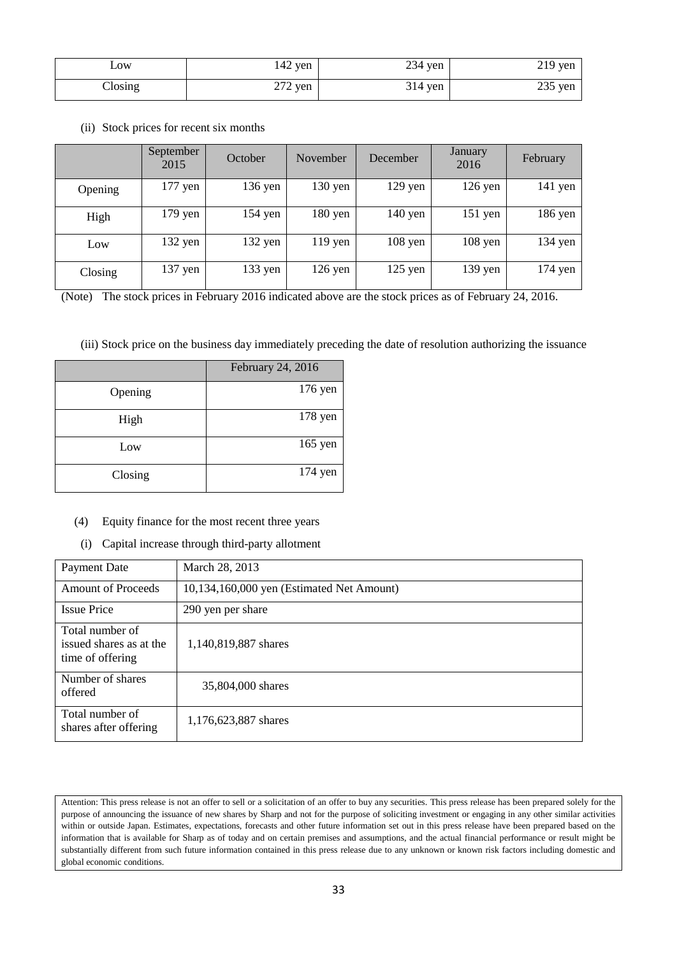| $\sim 0W$       | $142$ yen | $234$ yen | $219$ yen |
|-----------------|-----------|-----------|-----------|
| $\bigcap$ osing | $272$ yen | $314$ yen | $235$ yen |

(ii) Stock prices for recent six months

|         | September<br>2015 | October   | November          | December  | January<br>2016 | <b>February</b> |
|---------|-------------------|-----------|-------------------|-----------|-----------------|-----------------|
| Opening | $177$ yen         | 136 yen   | $130 \text{ yen}$ | $129$ yen | $126$ yen       | $141$ yen       |
| High    | $179$ yen         | $154$ yen | 180 yen           | $140$ yen | $151$ yen       | 186 yen         |
| Low     | $132$ yen         | $132$ yen | $119$ yen         | $108$ yen | $108$ yen       | $134$ yen       |
| Closing | $137$ yen         | $133$ yen | $126$ yen         | $125$ yen | $139$ yen       | $174$ yen       |

(Note) The stock prices in February 2016 indicated above are the stock prices as of February 24, 2016.

(iii) Stock price on the business day immediately preceding the date of resolution authorizing the issuance

|         | February 24, 2016 |
|---------|-------------------|
| Opening | 176 yen           |
| High    | 178 yen           |
| Low     | $165$ yen         |
| Closing | $174$ yen         |

- (4) Equity finance for the most recent three years
	- (i) Capital increase through third-party allotment

| Payment Date                                                   | March 28, 2013                            |
|----------------------------------------------------------------|-------------------------------------------|
| <b>Amount of Proceeds</b>                                      | 10,134,160,000 yen (Estimated Net Amount) |
| <b>Issue Price</b>                                             | 290 yen per share                         |
| Total number of<br>issued shares as at the<br>time of offering | 1,140,819,887 shares                      |
| Number of shares<br>offered                                    | 35,804,000 shares                         |
| Total number of<br>shares after offering                       | 1,176,623,887 shares                      |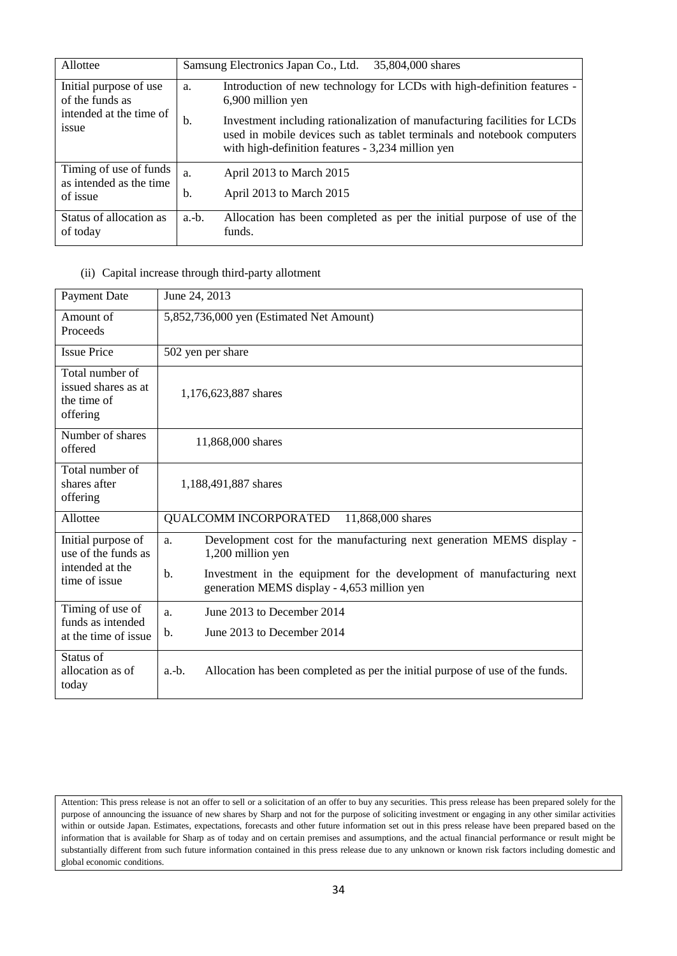| Allottee                                          | 35,804,000 shares<br>Samsung Electronics Japan Co., Ltd.                                                                                                                                                       |
|---------------------------------------------------|----------------------------------------------------------------------------------------------------------------------------------------------------------------------------------------------------------------|
| Initial purpose of use<br>of the funds as         | Introduction of new technology for LCDs with high-definition features -<br>a.<br>6,900 million yen                                                                                                             |
| intended at the time of<br>issue                  | b.<br>Investment including rationalization of manufacturing facilities for LCDs<br>used in mobile devices such as tablet terminals and notebook computers<br>with high-definition features - 3,234 million yen |
| Timing of use of funds<br>as intended as the time | April 2013 to March 2015<br>a.                                                                                                                                                                                 |
| of issue                                          | April 2013 to March 2015<br>b.                                                                                                                                                                                 |
| Status of allocation as<br>of today               | Allocation has been completed as per the initial purpose of use of the<br>$a.-b.$<br>funds.                                                                                                                    |

# (ii) Capital increase through third-party allotment

| <b>Payment Date</b>                                               | June 24, 2013                                                                                                              |
|-------------------------------------------------------------------|----------------------------------------------------------------------------------------------------------------------------|
| Amount of<br>Proceeds                                             | 5,852,736,000 yen (Estimated Net Amount)                                                                                   |
| <b>Issue Price</b>                                                | 502 yen per share                                                                                                          |
| Total number of<br>issued shares as at<br>the time of<br>offering | 1,176,623,887 shares                                                                                                       |
| Number of shares<br>offered                                       | 11,868,000 shares                                                                                                          |
| Total number of<br>shares after<br>offering                       | 1,188,491,887 shares                                                                                                       |
| Allottee                                                          | <b>QUALCOMM INCORPORATED</b><br>11,868,000 shares                                                                          |
| Initial purpose of<br>use of the funds as                         | Development cost for the manufacturing next generation MEMS display -<br>a.<br>1,200 million yen                           |
| intended at the<br>time of issue                                  | Investment in the equipment for the development of manufacturing next<br>b.<br>generation MEMS display - 4,653 million yen |
| Timing of use of<br>funds as intended                             | June 2013 to December 2014<br>a.                                                                                           |
| at the time of issue                                              | June 2013 to December 2014<br>b.                                                                                           |
| Status of<br>allocation as of<br>today                            | Allocation has been completed as per the initial purpose of use of the funds.<br>$a.-b.$                                   |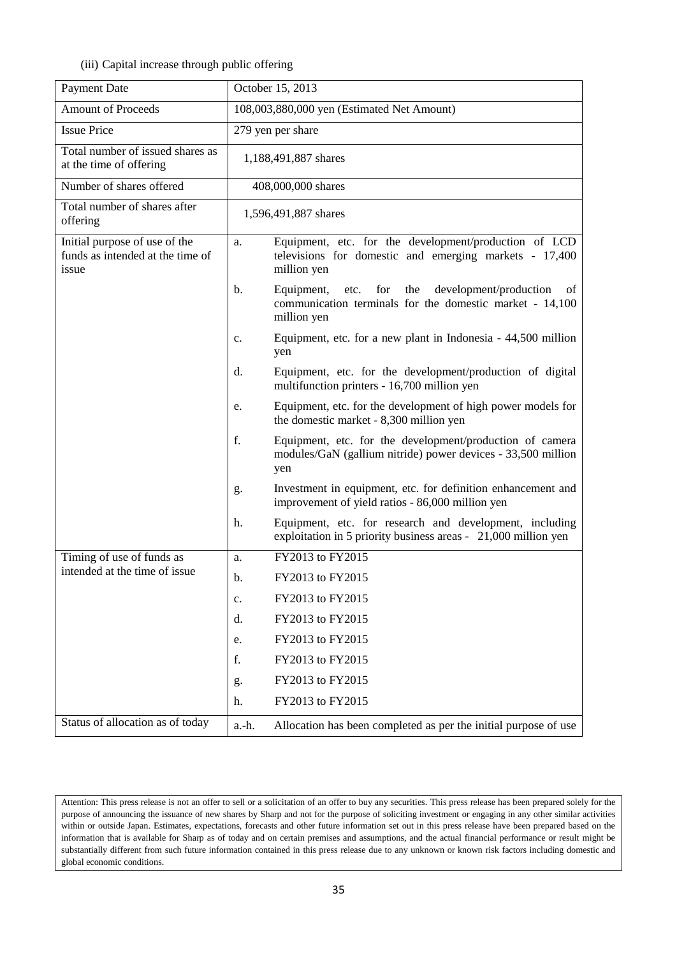# (iii) Capital increase through public offering

| Payment Date                                                               | October 15, 2013                           |                                                                                                                                             |  |
|----------------------------------------------------------------------------|--------------------------------------------|---------------------------------------------------------------------------------------------------------------------------------------------|--|
| <b>Amount of Proceeds</b>                                                  | 108,003,880,000 yen (Estimated Net Amount) |                                                                                                                                             |  |
| <b>Issue Price</b>                                                         | 279 yen per share                          |                                                                                                                                             |  |
| Total number of issued shares as<br>at the time of offering                | 1,188,491,887 shares                       |                                                                                                                                             |  |
| Number of shares offered                                                   |                                            | 408,000,000 shares                                                                                                                          |  |
| Total number of shares after<br>offering                                   |                                            | 1,596,491,887 shares                                                                                                                        |  |
| Initial purpose of use of the<br>funds as intended at the time of<br>issue | a.                                         | Equipment, etc. for the development/production of LCD<br>televisions for domestic and emerging markets - 17,400<br>million yen              |  |
|                                                                            | $\mathbf{b}$ .                             | Equipment,<br>for<br>the<br>development/production<br>etc.<br>οf<br>communication terminals for the domestic market - 14,100<br>million yen |  |
|                                                                            | $\mathbf{c}$ .                             | Equipment, etc. for a new plant in Indonesia - 44,500 million<br>yen                                                                        |  |
|                                                                            | d.                                         | Equipment, etc. for the development/production of digital<br>multifunction printers - 16,700 million yen                                    |  |
|                                                                            | e.                                         | Equipment, etc. for the development of high power models for<br>the domestic market - 8,300 million yen                                     |  |
|                                                                            | f.                                         | Equipment, etc. for the development/production of camera<br>modules/GaN (gallium nitride) power devices - 33,500 million<br>yen             |  |
|                                                                            | g.                                         | Investment in equipment, etc. for definition enhancement and<br>improvement of yield ratios - 86,000 million yen                            |  |
|                                                                            | h.                                         | Equipment, etc. for research and development, including<br>exploitation in 5 priority business areas - 21,000 million yen                   |  |
| Timing of use of funds as<br>intended at the time of issue                 | a.                                         | FY2013 to FY2015                                                                                                                            |  |
|                                                                            | b.                                         | FY2013 to FY2015                                                                                                                            |  |
|                                                                            | c.                                         | FY2013 to FY2015                                                                                                                            |  |
|                                                                            | d.                                         | FY2013 to FY2015                                                                                                                            |  |
|                                                                            | e.                                         | FY2013 to FY2015                                                                                                                            |  |
|                                                                            | f.                                         | FY2013 to FY2015                                                                                                                            |  |
|                                                                            | g.                                         | FY2013 to FY2015                                                                                                                            |  |
|                                                                            | h.                                         | FY2013 to FY2015                                                                                                                            |  |
| Status of allocation as of today                                           | a.-h.                                      | Allocation has been completed as per the initial purpose of use                                                                             |  |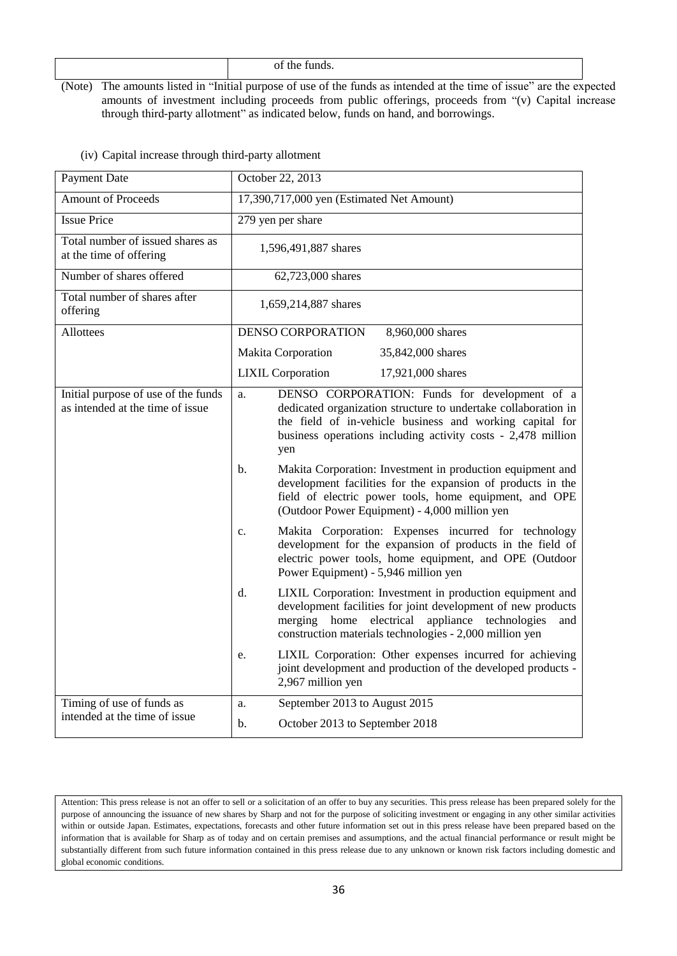(Note) The amounts listed in "Initial purpose of use of the funds as intended at the time of issue" are the expected amounts of investment including proceeds from public offerings, proceeds from "(v) Capital increase through third-party allotment" as indicated below, funds on hand, and borrowings.

| Payment Date                                                            | October 22, 2013                                                                                                                                                                                                                                                                                                                                                                                                                                                                                                                                                     |  |  |
|-------------------------------------------------------------------------|----------------------------------------------------------------------------------------------------------------------------------------------------------------------------------------------------------------------------------------------------------------------------------------------------------------------------------------------------------------------------------------------------------------------------------------------------------------------------------------------------------------------------------------------------------------------|--|--|
| <b>Amount of Proceeds</b>                                               | 17,390,717,000 yen (Estimated Net Amount)                                                                                                                                                                                                                                                                                                                                                                                                                                                                                                                            |  |  |
| <b>Issue Price</b>                                                      | 279 yen per share                                                                                                                                                                                                                                                                                                                                                                                                                                                                                                                                                    |  |  |
| Total number of issued shares as<br>at the time of offering             | 1,596,491,887 shares                                                                                                                                                                                                                                                                                                                                                                                                                                                                                                                                                 |  |  |
| Number of shares offered                                                | 62,723,000 shares                                                                                                                                                                                                                                                                                                                                                                                                                                                                                                                                                    |  |  |
| Total number of shares after<br>offering                                | 1,659,214,887 shares                                                                                                                                                                                                                                                                                                                                                                                                                                                                                                                                                 |  |  |
| <b>Allottees</b>                                                        | <b>DENSO CORPORATION</b><br>8,960,000 shares                                                                                                                                                                                                                                                                                                                                                                                                                                                                                                                         |  |  |
|                                                                         | <b>Makita Corporation</b><br>35,842,000 shares                                                                                                                                                                                                                                                                                                                                                                                                                                                                                                                       |  |  |
|                                                                         | <b>LIXIL Corporation</b><br>17,921,000 shares                                                                                                                                                                                                                                                                                                                                                                                                                                                                                                                        |  |  |
| Initial purpose of use of the funds<br>as intended at the time of issue | DENSO CORPORATION: Funds for development of a<br>a.<br>dedicated organization structure to undertake collaboration in<br>the field of in-vehicle business and working capital for<br>business operations including activity costs - 2,478 million<br>yen<br>Makita Corporation: Investment in production equipment and<br>b.<br>development facilities for the expansion of products in the<br>field of electric power tools, home equipment, and OPE<br>(Outdoor Power Equipment) - 4,000 million yen<br>Makita Corporation: Expenses incurred for technology<br>c. |  |  |
|                                                                         | development for the expansion of products in the field of<br>electric power tools, home equipment, and OPE (Outdoor<br>Power Equipment) - 5,946 million yen                                                                                                                                                                                                                                                                                                                                                                                                          |  |  |
|                                                                         | d.<br>LIXIL Corporation: Investment in production equipment and<br>development facilities for joint development of new products<br>electrical<br>appliance technologies<br>merging<br>home<br>and<br>construction materials technologies - 2,000 million yen                                                                                                                                                                                                                                                                                                         |  |  |
|                                                                         | LIXIL Corporation: Other expenses incurred for achieving<br>e.<br>joint development and production of the developed products -<br>2,967 million yen                                                                                                                                                                                                                                                                                                                                                                                                                  |  |  |
| Timing of use of funds as                                               | September 2013 to August 2015<br>a.                                                                                                                                                                                                                                                                                                                                                                                                                                                                                                                                  |  |  |
| intended at the time of issue                                           | October 2013 to September 2018<br>b.                                                                                                                                                                                                                                                                                                                                                                                                                                                                                                                                 |  |  |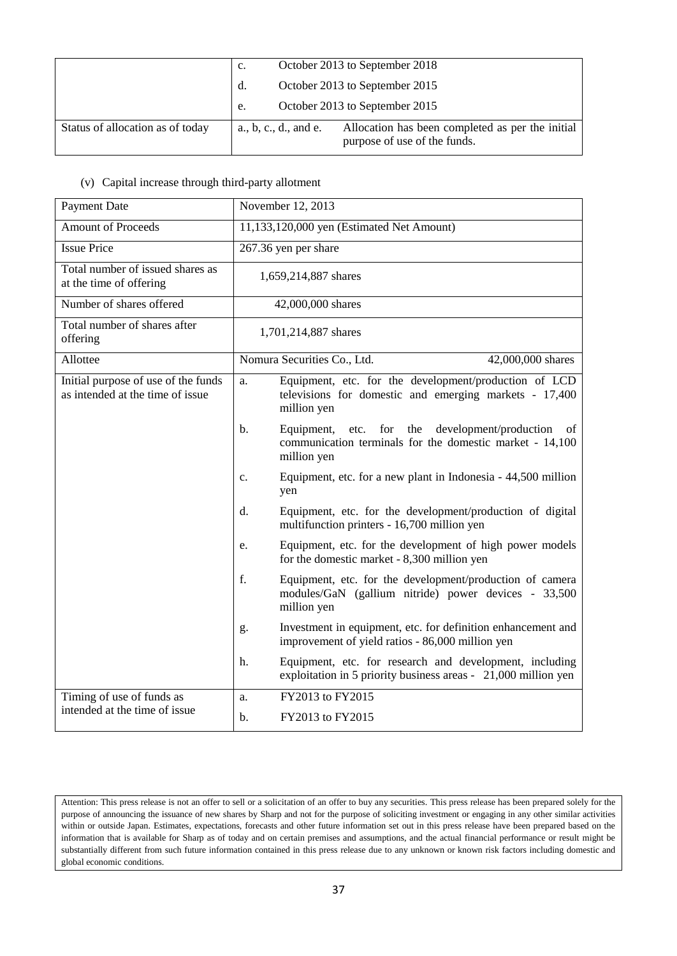|                                  | October 2013 to September 2018<br>c.                                                                   |
|----------------------------------|--------------------------------------------------------------------------------------------------------|
|                                  | October 2013 to September 2015<br>d.                                                                   |
|                                  | October 2013 to September 2015<br>e.                                                                   |
| Status of allocation as of today | Allocation has been completed as per the initial<br>a, b, c, d, and e.<br>purpose of use of the funds. |

# (v) Capital increase through third-party allotment

| Payment Date                                                            | November 12, 2013                                                                                                                              |  |  |  |  |
|-------------------------------------------------------------------------|------------------------------------------------------------------------------------------------------------------------------------------------|--|--|--|--|
| <b>Amount of Proceeds</b>                                               | 11,133,120,000 yen (Estimated Net Amount)                                                                                                      |  |  |  |  |
| <b>Issue Price</b>                                                      | 267.36 yen per share                                                                                                                           |  |  |  |  |
| Total number of issued shares as<br>at the time of offering             | 1,659,214,887 shares                                                                                                                           |  |  |  |  |
| Number of shares offered                                                | 42,000,000 shares                                                                                                                              |  |  |  |  |
| Total number of shares after<br>offering                                | 1,701,214,887 shares                                                                                                                           |  |  |  |  |
| Allottee                                                                | Nomura Securities Co., Ltd.<br>42,000,000 shares                                                                                               |  |  |  |  |
| Initial purpose of use of the funds<br>as intended at the time of issue | Equipment, etc. for the development/production of LCD<br>a.<br>televisions for domestic and emerging markets - 17,400<br>million yen           |  |  |  |  |
|                                                                         | b.<br>Equipment, etc.<br>for the<br>development/production<br>of<br>communication terminals for the domestic market - 14,100<br>million yen    |  |  |  |  |
|                                                                         | Equipment, etc. for a new plant in Indonesia - 44,500 million<br>C <sub>1</sub><br>yen                                                         |  |  |  |  |
|                                                                         | Equipment, etc. for the development/production of digital<br>d.<br>multifunction printers - 16,700 million yen                                 |  |  |  |  |
|                                                                         | Equipment, etc. for the development of high power models<br>e.<br>for the domestic market - 8,300 million yen                                  |  |  |  |  |
|                                                                         | $f_{\cdot}$<br>Equipment, etc. for the development/production of camera<br>modules/GaN (gallium nitride) power devices - 33,500<br>million yen |  |  |  |  |
|                                                                         | Investment in equipment, etc. for definition enhancement and<br>g.<br>improvement of yield ratios - 86,000 million yen                         |  |  |  |  |
|                                                                         | Equipment, etc. for research and development, including<br>h.<br>exploitation in 5 priority business areas - 21,000 million yen                |  |  |  |  |
| Timing of use of funds as                                               | FY2013 to FY2015<br>a.                                                                                                                         |  |  |  |  |
| intended at the time of issue                                           | FY2013 to FY2015<br>b.                                                                                                                         |  |  |  |  |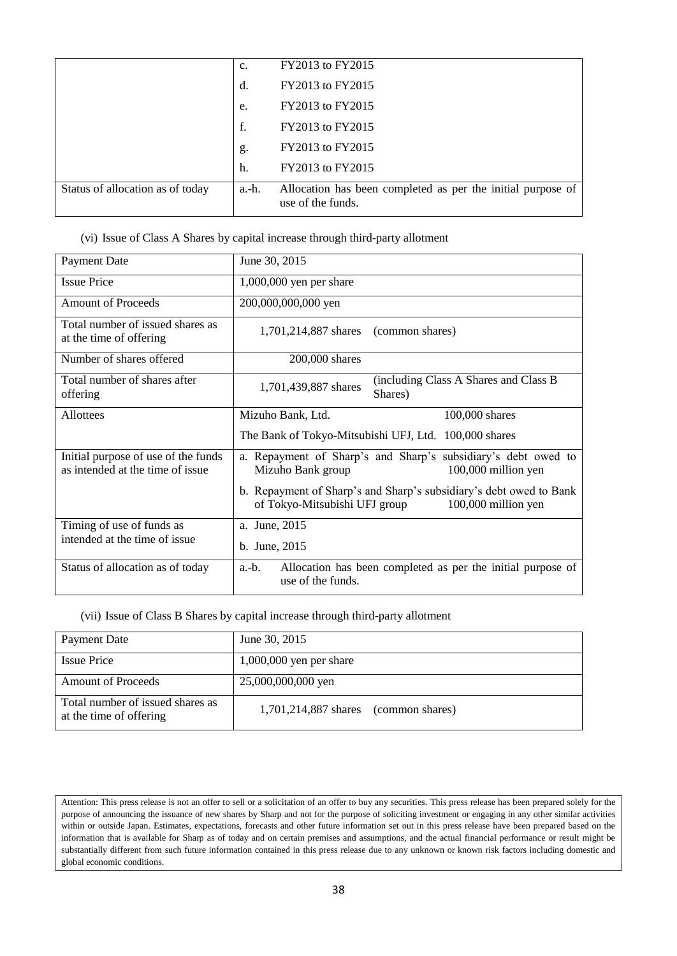|                                  | c.    | FY2013 to FY2015                                                                 |
|----------------------------------|-------|----------------------------------------------------------------------------------|
|                                  | d.    | FY2013 to FY2015                                                                 |
|                                  | e.    | FY2013 to FY2015                                                                 |
|                                  | f.    | FY2013 to FY2015                                                                 |
|                                  | g.    | FY2013 to FY2015                                                                 |
|                                  | h.    | FY2013 to FY2015                                                                 |
| Status of allocation as of today | a.-h. | Allocation has been completed as per the initial purpose of<br>use of the funds. |

### (vi) Issue of Class A Shares by capital increase through third-party allotment

| <b>Payment Date</b>                                                     | June 30, 2015                                                                                                              |  |  |  |  |
|-------------------------------------------------------------------------|----------------------------------------------------------------------------------------------------------------------------|--|--|--|--|
| <b>Issue Price</b>                                                      | $1,000,000$ yen per share                                                                                                  |  |  |  |  |
| <b>Amount of Proceeds</b>                                               | 200,000,000,000 yen                                                                                                        |  |  |  |  |
| Total number of issued shares as<br>at the time of offering             | $1,701,214,887$ shares (common shares)                                                                                     |  |  |  |  |
| Number of shares offered                                                | 200,000 shares                                                                                                             |  |  |  |  |
| Total number of shares after<br>offering                                | (including Class A Shares and Class B)<br>1,701,439,887 shares<br>Shares)                                                  |  |  |  |  |
| Allottees                                                               | Mizuho Bank, Ltd.<br>100,000 shares                                                                                        |  |  |  |  |
|                                                                         | The Bank of Tokyo-Mitsubishi UFJ, Ltd. 100,000 shares                                                                      |  |  |  |  |
| Initial purpose of use of the funds<br>as intended at the time of issue | a. Repayment of Sharp's and Sharp's subsidiary's debt owed to<br>Mizuho Bank group<br>100,000 million yen                  |  |  |  |  |
|                                                                         | b. Repayment of Sharp's and Sharp's subsidiary's debt owed to Bank<br>of Tokyo-Mitsubishi UFJ group<br>100,000 million yen |  |  |  |  |
| Timing of use of funds as                                               | a. June, 2015                                                                                                              |  |  |  |  |
| intended at the time of issue                                           | b. June, 2015                                                                                                              |  |  |  |  |
| Status of allocation as of today                                        | Allocation has been completed as per the initial purpose of<br>$a.-b.$<br>use of the funds.                                |  |  |  |  |

# (vii) Issue of Class B Shares by capital increase through third-party allotment

| <b>Payment Date</b>                                         | June 30, 2015                          |
|-------------------------------------------------------------|----------------------------------------|
| <b>Issue Price</b>                                          | $1,000,000$ yen per share              |
| <b>Amount of Proceeds</b>                                   | 25,000,000,000 yen                     |
| Total number of issued shares as<br>at the time of offering | $1,701,214,887$ shares (common shares) |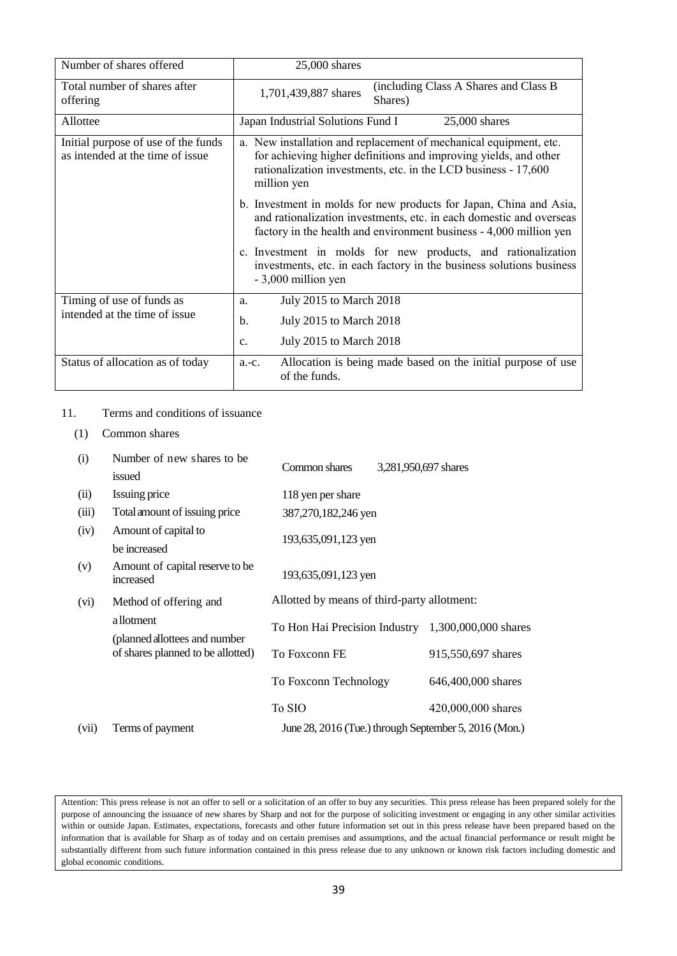| Number of shares offered                                                | 25,000 shares                                                                                                                                                                                                          |  |  |
|-------------------------------------------------------------------------|------------------------------------------------------------------------------------------------------------------------------------------------------------------------------------------------------------------------|--|--|
| Total number of shares after<br>offering                                | (including Class A Shares and Class B)<br>1,701,439,887 shares<br>Shares)                                                                                                                                              |  |  |
| Allottee                                                                | Japan Industrial Solutions Fund I<br>$25,000$ shares                                                                                                                                                                   |  |  |
| Initial purpose of use of the funds<br>as intended at the time of issue | a. New installation and replacement of mechanical equipment, etc.<br>for achieving higher definitions and improving yields, and other<br>rationalization investments, etc. in the LCD business - 17,600<br>million yen |  |  |
|                                                                         | b. Investment in molds for new products for Japan, China and Asia,<br>and rationalization investments, etc. in each domestic and overseas<br>factory in the health and environment business - 4,000 million yen        |  |  |
|                                                                         | c. Investment in molds for new products, and rationalization<br>investments, etc. in each factory in the business solutions business<br>- 3,000 million yen                                                            |  |  |
| Timing of use of funds as                                               | July 2015 to March 2018<br>a.                                                                                                                                                                                          |  |  |
| intended at the time of issue                                           | July 2015 to March 2018<br>$\mathbf b$ .                                                                                                                                                                               |  |  |
|                                                                         | July 2015 to March 2018<br>c.                                                                                                                                                                                          |  |  |
| Status of allocation as of today                                        | Allocation is being made based on the initial purpose of use<br>$a.-c.$<br>of the funds.                                                                                                                               |  |  |

# 11. Terms and conditions of issuance

| (1)   | Common shares                                |                                                       |                      |
|-------|----------------------------------------------|-------------------------------------------------------|----------------------|
| (i)   | Number of new shares to be.<br>issued        | Common shares                                         | 3,281,950,697 shares |
| (ii)  | Issuing price                                | 118 yen per share                                     |                      |
| (iii) | Total amount of issuing price                | 387,270,182,246 yen                                   |                      |
| (iv)  | Amount of capital to<br>be increased         | 193,635,091,123 yen                                   |                      |
| (v)   | Amount of capital reserve to be<br>increased | 193,635,091,123 yen                                   |                      |
| (vi)  | Method of offering and                       | Allotted by means of third-party allotment:           |                      |
|       | a llotment<br>(planned allottees and number  | To Hon Hai Precision Industry                         | 1,300,000,000 shares |
|       | of shares planned to be allotted)            | To Foxconn FE                                         | 915,550,697 shares   |
|       |                                              | To Foxconn Technology                                 | 646,400,000 shares   |
|       |                                              | To SIO                                                | 420,000,000 shares   |
| (vii) | Terms of payment                             | June 28, 2016 (Tue.) through September 5, 2016 (Mon.) |                      |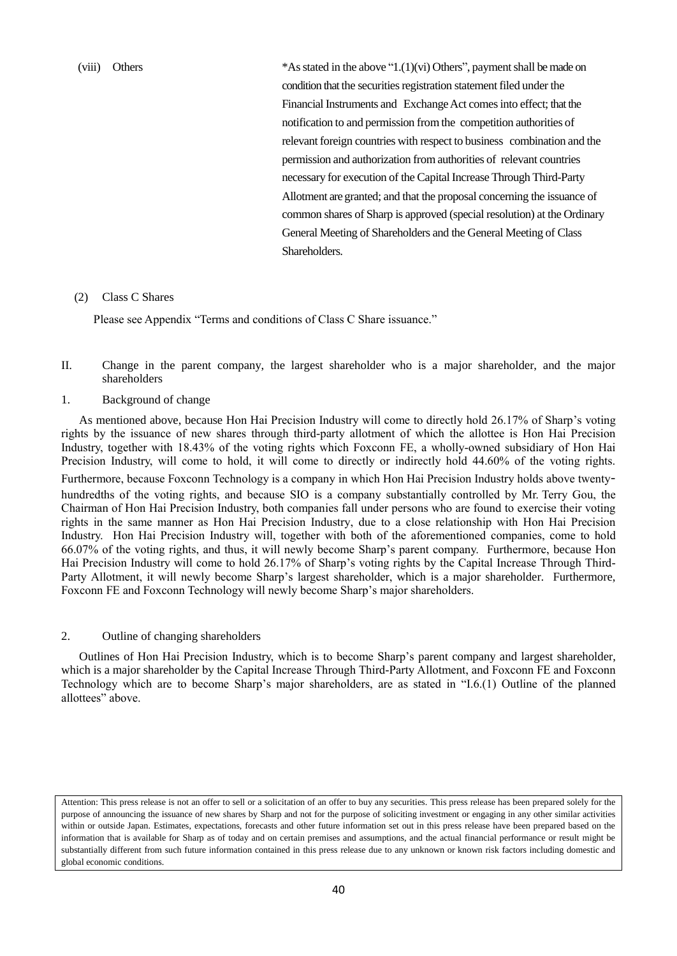(viii) Others \*Asstated in the above "1.(1)(vi) Others", paymentshall be made on condition that the securities registration statement filed under the Financial Instruments and Exchange Act comes into effect; that the notification to and permission fromthe competition authorities of relevant foreign countries with respect to business combination and the permission and authorization fromauthorities of relevant countries necessary for execution of the Capital Increase Through Third-Party Allotment are granted; and that the proposal concerning the issuance of common shares of Sharp is approved (special resolution) at the Ordinary General Meeting of Shareholders and the General Meeting of Class Shareholders.

#### (2) Class C Shares

Please see Appendix "Terms and conditions of Class C Share issuance."

- II. Change in the parent company, the largest shareholder who is a major shareholder, and the major shareholders
- 1. Background of change

As mentioned above, because Hon Hai Precision Industry will come to directly hold 26.17% of Sharp's voting rights by the issuance of new shares through third-party allotment of which the allottee is Hon Hai Precision Industry, together with 18.43% of the voting rights which Foxconn FE, a wholly-owned subsidiary of Hon Hai Precision Industry, will come to hold, it will come to directly or indirectly hold 44.60% of the voting rights. Furthermore, because Foxconn Technology is a company in which Hon Hai Precision Industry holds above twentyhundredths of the voting rights, and because SIO is a company substantially controlled by Mr. Terry Gou, the Chairman of Hon Hai Precision Industry, both companies fall under persons who are found to exercise their voting rights in the same manner as Hon Hai Precision Industry, due to a close relationship with Hon Hai Precision Industry. Hon Hai Precision Industry will, together with both of the aforementioned companies, come to hold 66.07% of the voting rights, and thus, it will newly become Sharp's parent company. Furthermore, because Hon Hai Precision Industry will come to hold 26.17% of Sharp's voting rights by the Capital Increase Through Third-Party Allotment, it will newly become Sharp's largest shareholder, which is a major shareholder. Furthermore, Foxconn FE and Foxconn Technology will newly become Sharp's major shareholders.

#### 2. Outline of changing shareholders

Outlines of Hon Hai Precision Industry, which is to become Sharp's parent company and largest shareholder, which is a major shareholder by the Capital Increase Through Third-Party Allotment, and Foxconn FE and Foxconn Technology which are to become Sharp's major shareholders, are as stated in "I.6.(1) Outline of the planned allottees" above.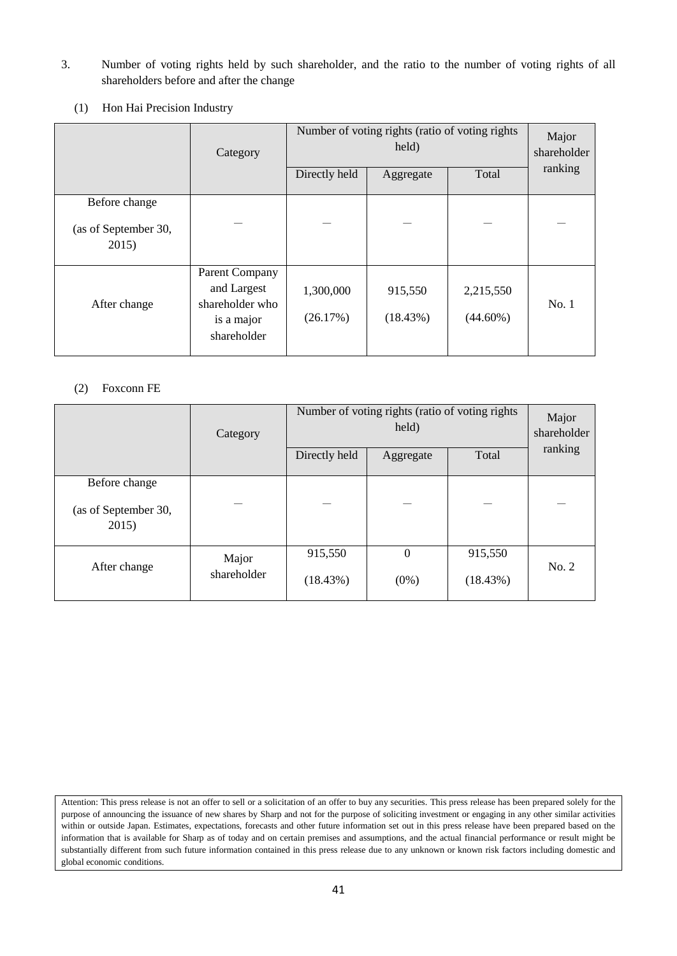- 3. Number of voting rights held by such shareholder, and the ratio to the number of voting rights of all shareholders before and after the change
	- (1) Hon Hai Precision Industry

|                                                | Category                                                                             | Number of voting rights (ratio of voting rights)<br>held)<br>Directly held<br>Total<br>Aggregate |                     |                          | Major<br>shareholder<br>ranking |
|------------------------------------------------|--------------------------------------------------------------------------------------|--------------------------------------------------------------------------------------------------|---------------------|--------------------------|---------------------------------|
| Before change<br>(as of September 30,<br>2015) |                                                                                      |                                                                                                  |                     |                          |                                 |
| After change                                   | <b>Parent Company</b><br>and Largest<br>shareholder who<br>is a major<br>shareholder | 1,300,000<br>(26.17%)                                                                            | 915,550<br>(18.43%) | 2,215,550<br>$(44.60\%)$ | No.1                            |

# (2) Foxconn FE

|                               | Category    | Number of voting rights (ratio of voting rights<br>held) |           |          | Major<br>shareholder |
|-------------------------------|-------------|----------------------------------------------------------|-----------|----------|----------------------|
|                               |             | Directly held                                            | Aggregate | Total    | ranking              |
| Before change                 |             |                                                          |           |          |                      |
| (as of September 30,<br>2015) |             |                                                          |           |          |                      |
|                               | Major       | 915,550                                                  | $\Omega$  | 915,550  | No. 2                |
| After change                  | shareholder | (18.43%)                                                 | $(0\%)$   | (18.43%) |                      |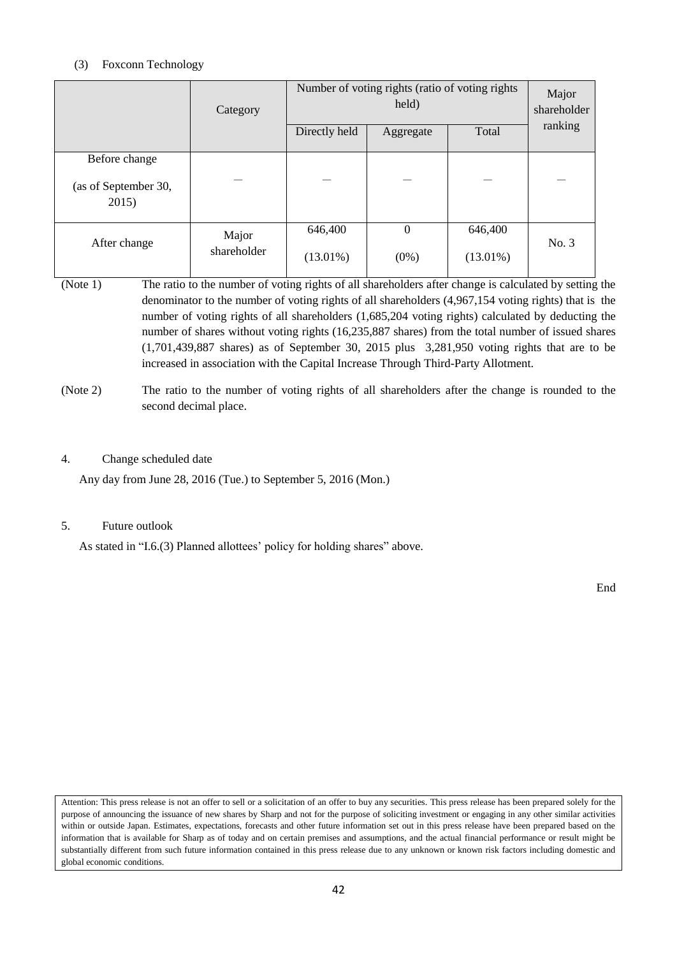# (3) Foxconn Technology

|                                                | Category             | Directly held          | Number of voting rights (ratio of voting rights<br>held)<br>Aggregate | Total                  | Major<br>shareholder<br>ranking |
|------------------------------------------------|----------------------|------------------------|-----------------------------------------------------------------------|------------------------|---------------------------------|
| Before change<br>(as of September 30,<br>2015) |                      |                        |                                                                       |                        |                                 |
| After change                                   | Major<br>shareholder | 646,400<br>$(13.01\%)$ | $\theta$<br>$(0\%)$                                                   | 646,400<br>$(13.01\%)$ | No. 3                           |

- (Note 1) The ratio to the number of voting rights of all shareholders after change is calculated by setting the denominator to the number of voting rights of all shareholders (4,967,154 voting rights) that is the number of voting rights of all shareholders (1,685,204 voting rights) calculated by deducting the number of shares without voting rights (16,235,887 shares) from the total number of issued shares (1,701,439,887 shares) as of September 30, 2015 plus 3,281,950 voting rights that are to be increased in association with the Capital Increase Through Third-Party Allotment.
- (Note 2) The ratio to the number of voting rights of all shareholders after the change is rounded to the second decimal place.

# 4. Change scheduled date

Any day from June 28, 2016 (Tue.) to September 5, 2016 (Mon.)

# 5. Future outlook

As stated in "I.6.(3) Planned allottees' policy for holding shares" above.

End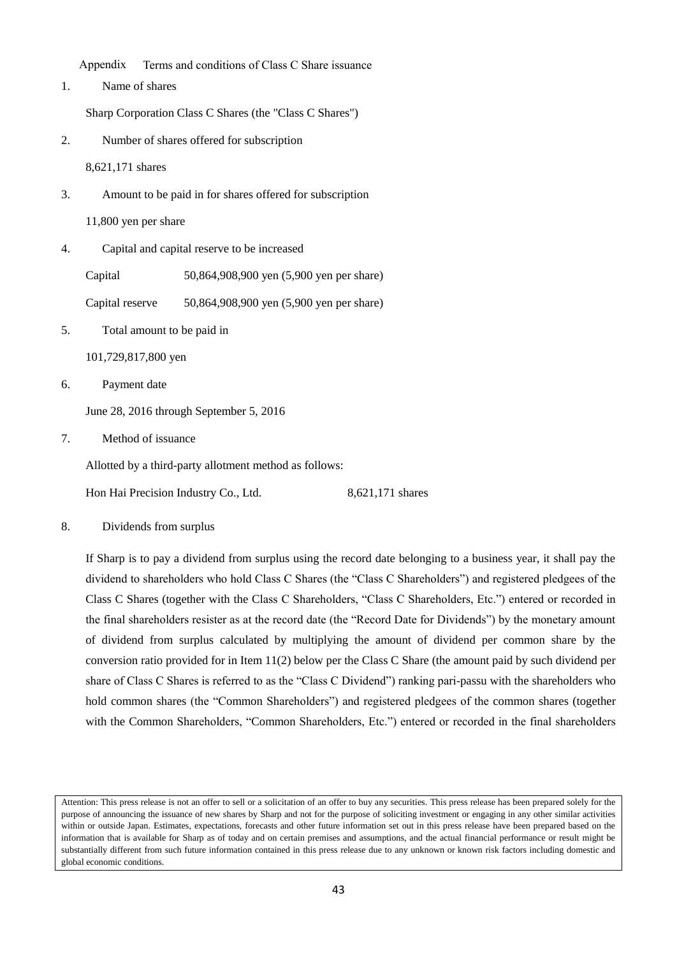Appendix Terms and conditions of Class C Share issuance

1. Name of shares

Sharp Corporation Class C Shares (the "Class C Shares")

2. Number of shares offered for subscription

8,621,171 shares

3. Amount to be paid in for shares offered for subscription

11,800 yen per share

4. Capital and capital reserve to be increased

Capital 50,864,908,900 yen (5,900 yen per share)

Capital reserve 50,864,908,900 yen (5,900 yen per share)

5. Total amount to be paid in

101,729,817,800 yen

6. Payment date

June 28, 2016 through September 5, 2016

7. Method of issuance

Allotted by a third-party allotment method as follows:

Hon Hai Precision Industry Co., Ltd. 8,621,171 shares

8. Dividends from surplus

If Sharp is to pay a dividend from surplus using the record date belonging to a business year, it shall pay the dividend to shareholders who hold Class C Shares (the "Class C Shareholders") and registered pledgees of the Class C Shares (together with the Class C Shareholders, "Class C Shareholders, Etc.") entered or recorded in the final shareholders resister as at the record date (the "Record Date for Dividends") by the monetary amount of dividend from surplus calculated by multiplying the amount of dividend per common share by the conversion ratio provided for in Item 11(2) below per the Class C Share (the amount paid by such dividend per share of Class C Shares is referred to as the "Class C Dividend") ranking pari-passu with the shareholders who hold common shares (the "Common Shareholders") and registered pledgees of the common shares (together with the Common Shareholders, "Common Shareholders, Etc.") entered or recorded in the final shareholders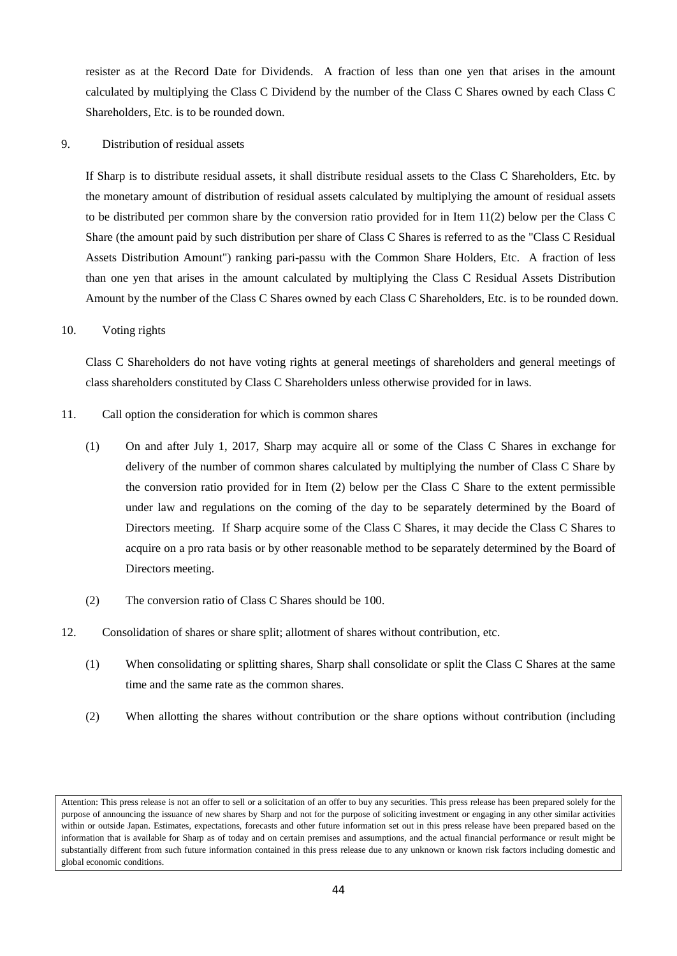resister as at the Record Date for Dividends. A fraction of less than one yen that arises in the amount calculated by multiplying the Class C Dividend by the number of the Class C Shares owned by each Class C Shareholders, Etc. is to be rounded down.

9. Distribution of residual assets

If Sharp is to distribute residual assets, it shall distribute residual assets to the Class C Shareholders, Etc. by the monetary amount of distribution of residual assets calculated by multiplying the amount of residual assets to be distributed per common share by the conversion ratio provided for in Item 11(2) below per the Class C Share (the amount paid by such distribution per share of Class C Shares is referred to as the "Class C Residual Assets Distribution Amount") ranking pari-passu with the Common Share Holders, Etc. A fraction of less than one yen that arises in the amount calculated by multiplying the Class C Residual Assets Distribution Amount by the number of the Class C Shares owned by each Class C Shareholders, Etc. is to be rounded down.

### 10. Voting rights

Class C Shareholders do not have voting rights at general meetings of shareholders and general meetings of class shareholders constituted by Class C Shareholders unless otherwise provided for in laws.

- 11. Call option the consideration for which is common shares
	- (1) On and after July 1, 2017, Sharp may acquire all or some of the Class C Shares in exchange for delivery of the number of common shares calculated by multiplying the number of Class C Share by the conversion ratio provided for in Item (2) below per the Class C Share to the extent permissible under law and regulations on the coming of the day to be separately determined by the Board of Directors meeting. If Sharp acquire some of the Class C Shares, it may decide the Class C Shares to acquire on a pro rata basis or by other reasonable method to be separately determined by the Board of Directors meeting.
	- (2) The conversion ratio of Class C Shares should be 100.
- 12. Consolidation of shares or share split; allotment of shares without contribution, etc.
	- (1) When consolidating or splitting shares, Sharp shall consolidate or split the Class C Shares at the same time and the same rate as the common shares.
	- (2) When allotting the shares without contribution or the share options without contribution (including

Attention: This press release is not an offer to sell or a solicitation of an offer to buy any securities. This press release has been prepared solely for the purpose of announcing the issuance of new shares by Sharp and not for the purpose of soliciting investment or engaging in any other similar activities within or outside Japan. Estimates, expectations, forecasts and other future information set out in this press release have been prepared based on the information that is available for Sharp as of today and on certain premises and assumptions, and the actual financial performance or result might be substantially different from such future information contained in this press release due to any unknown or known risk factors including domestic and global economic conditions.